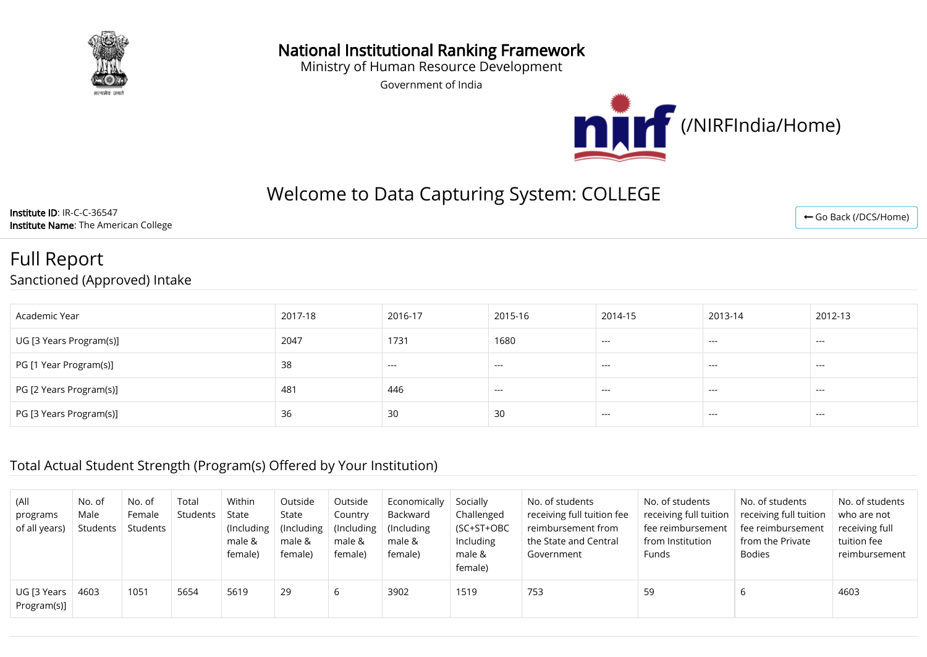

#### National Institutional Ranking Framework

Ministry of Human Resource Development

Government of India



# Welcome to Data Capturing System: COLLEGE

Institute ID: IR-C-C-36547 Institute Name: The American College

← [Go Back \(/DCS/Home\)](http://login.nirfindia.org/DCS/Home)

## Full Report Sanctioned (Approved) Intake

| Academic Year           | 2017-18 | 2016-17 | 2015-16 | 2014-15                                | 2013-14  | 2012-13       |
|-------------------------|---------|---------|---------|----------------------------------------|----------|---------------|
| UG [3 Years Program(s)] | 2047    | 1731    | 1680    | $---$                                  | $\cdots$ | $\sim$ $\sim$ |
| PG [1 Year Program(s)]  | 38      | $- - -$ | $--$    | $\hspace{0.1em} \ldots \hspace{0.1em}$ | $\cdots$ | $--$          |
| PG [2 Years Program(s)] | 481     | 446     | $---$   | $---$                                  | $\cdots$ | $\sim$ $\sim$ |
| PG [3 Years Program(s)] | 36      | 30      | 30      | ----                                   | $- - -$  | ---           |

#### Total Actual Student Strength (Program(s) Offered by Your Institution)

| (All<br>programs<br>of all years) | No. of<br>Male<br>Students | No. of<br>Female<br>Students | Total<br>Students | Within<br>State<br>(Including<br>male &<br>female) | Outside<br>State<br>(Including)<br>male &<br>female) | Outside<br>Country<br>(Including)<br>male &<br>female) | Economically<br>Backward<br>(Including)<br>male &<br>female) | Socially<br>Challenged<br>(SC+ST+OBC<br>Including<br>male &<br>female) | No. of students<br>receiving full tuition fee<br>reimbursement from<br>the State and Central<br>Government | No. of students<br>receiving full tuition<br>fee reimbursement<br>from Institution<br>Funds | No. of students<br>receiving full tuition<br>fee reimbursement<br>from the Private<br>Bodies | No. of students<br>who are not<br>receiving full<br>tuition fee<br>reimbursement |
|-----------------------------------|----------------------------|------------------------------|-------------------|----------------------------------------------------|------------------------------------------------------|--------------------------------------------------------|--------------------------------------------------------------|------------------------------------------------------------------------|------------------------------------------------------------------------------------------------------------|---------------------------------------------------------------------------------------------|----------------------------------------------------------------------------------------------|----------------------------------------------------------------------------------|
| UG [3 Years<br>Program(s)]        | 4603                       | 1051                         | 5654              | 5619                                               | 29                                                   |                                                        | 3902                                                         | 1519                                                                   | 753                                                                                                        | 59                                                                                          | b                                                                                            | 4603                                                                             |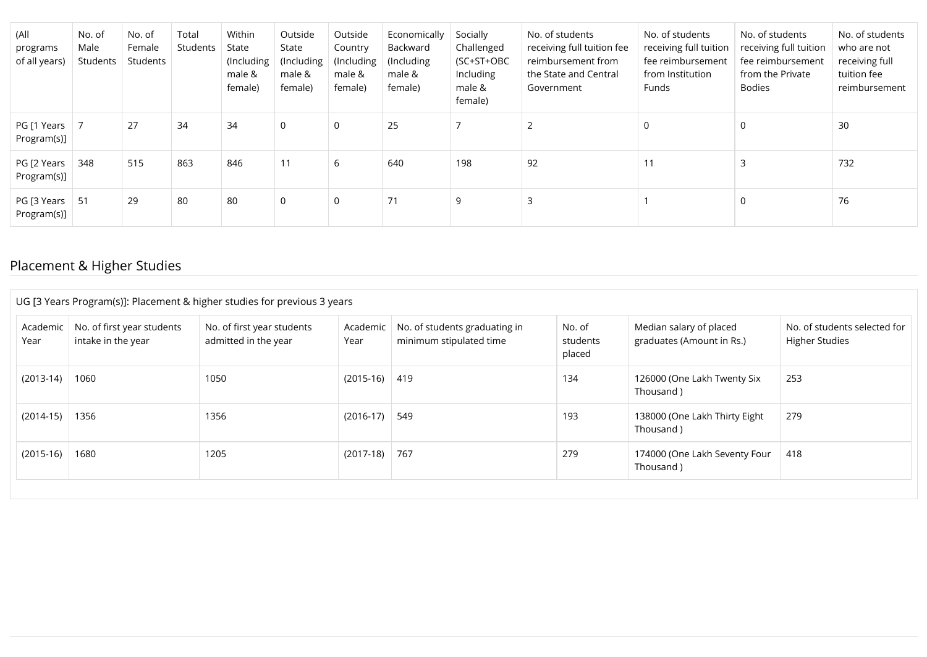| (All<br>programs<br>of all years) | No. of<br>Male<br>Students | No. of<br>Female<br>Students | Total<br>Students | Within<br>State<br>(Including<br>male &<br>female) | Outside<br>State<br>(Including)<br>male &<br>female) | Outside<br>Country<br>(Including)<br>male &<br>female) | Economically<br>Backward<br>(Including)<br>male &<br>female) | Socially<br>Challenged<br>(SC+ST+OBC<br>Including<br>male &<br>female) | No. of students<br>receiving full tuition fee<br>reimbursement from<br>the State and Central<br>Government | No. of students<br>receiving full tuition<br>fee reimbursement<br>from Institution<br>Funds | No. of students<br>receiving full tuition<br>fee reimbursement<br>from the Private<br>Bodies | No. of students<br>who are not<br>receiving full<br>tuition fee<br>reimbursement |
|-----------------------------------|----------------------------|------------------------------|-------------------|----------------------------------------------------|------------------------------------------------------|--------------------------------------------------------|--------------------------------------------------------------|------------------------------------------------------------------------|------------------------------------------------------------------------------------------------------------|---------------------------------------------------------------------------------------------|----------------------------------------------------------------------------------------------|----------------------------------------------------------------------------------|
| PG [1 Years<br>Program(s)]        |                            | 27                           | 34                | 34                                                 | $\mathbf 0$                                          | $\mathbf 0$                                            | 25                                                           |                                                                        |                                                                                                            | $\Omega$                                                                                    | 0                                                                                            | 30                                                                               |
| PG [2 Years<br>Program(s)]        | 348                        | 515                          | 863               | 846                                                | 11                                                   | 6                                                      | 640                                                          | 198                                                                    | 92                                                                                                         | 11                                                                                          |                                                                                              | 732                                                                              |
| PG [3 Years<br>Program(s)]        | - 51                       | 29                           | 80                | 80                                                 | $\Omega$                                             | $\Omega$                                               | 71                                                           | 9                                                                      |                                                                                                            |                                                                                             | 0                                                                                            | 76                                                                               |

## Placement & Higher Studies

| UG [3 Years Program(s)]: Placement & higher studies for previous 3 years |                                                  |                                                    |                  |                                                          |                              |                                                      |                                                       |  |  |  |  |
|--------------------------------------------------------------------------|--------------------------------------------------|----------------------------------------------------|------------------|----------------------------------------------------------|------------------------------|------------------------------------------------------|-------------------------------------------------------|--|--|--|--|
| Academic<br>Year                                                         | No. of first year students<br>intake in the year | No. of first year students<br>admitted in the year | Academic<br>Year | No. of students graduating in<br>minimum stipulated time | No. of<br>students<br>placed | Median salary of placed<br>graduates (Amount in Rs.) | No. of students selected for<br><b>Higher Studies</b> |  |  |  |  |
| $(2013-14)$                                                              | 1060                                             | 1050                                               | $(2015-16)$ 419  |                                                          | 134                          | 126000 (One Lakh Twenty Six<br>Thousand)             | 253                                                   |  |  |  |  |
| $(2014-15)$                                                              | 1356                                             | 1356                                               | $(2016-17)$      | 549                                                      | 193                          | 138000 (One Lakh Thirty Eight<br>Thousand)           | 279                                                   |  |  |  |  |
| $(2015-16)$                                                              | 1680                                             | 1205                                               | $(2017-18)$      | 767                                                      | 279                          | 174000 (One Lakh Seventy Four<br>Thousand)           | 418                                                   |  |  |  |  |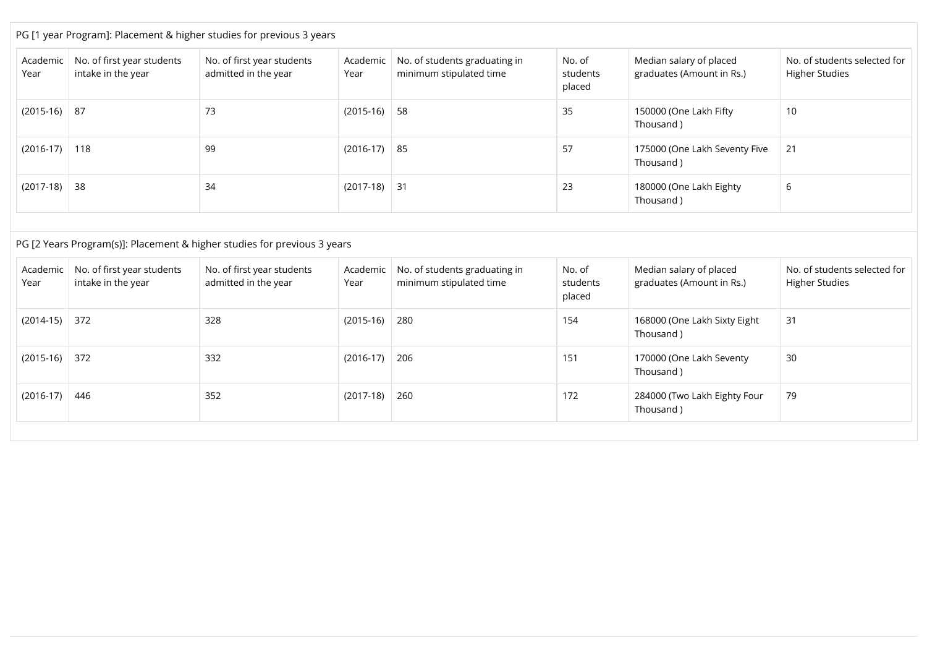| Academic<br>Year | No. of first year students<br>intake in the year | No. of first year students<br>admitted in the year | Academic<br>Year | No. of students graduating in<br>minimum stipulated time | No. of<br>students<br>placed | Median salary of placed<br>graduates (Amount in Rs.) | No. of students selected for<br><b>Higher Studies</b> |
|------------------|--------------------------------------------------|----------------------------------------------------|------------------|----------------------------------------------------------|------------------------------|------------------------------------------------------|-------------------------------------------------------|
| $(2015-16)$      | -87                                              | 73                                                 | $(2015-16)$ 58   |                                                          | 35                           | 150000 (One Lakh Fifty<br>Thousand)                  | 10                                                    |
| $(2016-17)$      | 118                                              | 99                                                 | $(2016-17)$ 85   |                                                          | 57                           | 175000 (One Lakh Seventy Five<br>Thousand)           | 21                                                    |
| (2017-18)        | 38                                               | 34                                                 | $(2017-18)$ 31   |                                                          | 23                           | 180000 (One Lakh Eighty<br>Thousand)                 | 6                                                     |

| Academic<br>Year | No. of first year students<br>intake in the year | No. of first year students<br>admitted in the year | Academic<br>Year | No. of students graduating in<br>minimum stipulated time | No. of<br>students<br>placed | Median salary of placed<br>graduates (Amount in Rs.) | No. of students selected for<br><b>Higher Studies</b> |
|------------------|--------------------------------------------------|----------------------------------------------------|------------------|----------------------------------------------------------|------------------------------|------------------------------------------------------|-------------------------------------------------------|
| (2014-15)        | 372                                              | 328                                                | $(2015-16)$ 280  |                                                          | 154                          | 168000 (One Lakh Sixty Eight<br>Thousand)            | 31                                                    |
| $(2015-16)$      | 372                                              | 332                                                | $(2016-17)$ 206  |                                                          | 151                          | 170000 (One Lakh Seventy<br>Thousand)                | 30                                                    |
| $(2016-17)$      | 446                                              | 352                                                | $(2017-18)$      | 260                                                      | 172                          | 284000 (Two Lakh Eighty Four<br>Thousand)            | 79                                                    |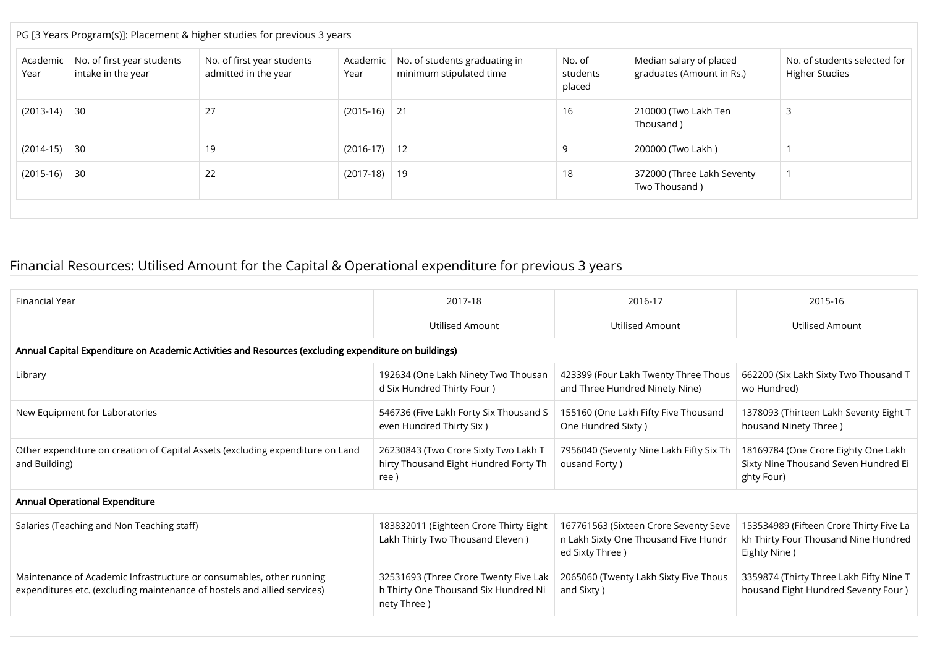| PG [3 Years Program(s)]: Placement & higher studies for previous 3 years |                                                  |                                                    |                  |                                                          |                              |                                                      |                                                       |  |  |  |
|--------------------------------------------------------------------------|--------------------------------------------------|----------------------------------------------------|------------------|----------------------------------------------------------|------------------------------|------------------------------------------------------|-------------------------------------------------------|--|--|--|
| Academic<br>Year                                                         | No. of first year students<br>intake in the year | No. of first year students<br>admitted in the year | Academic<br>Year | No. of students graduating in<br>minimum stipulated time | No. of<br>students<br>placed | Median salary of placed<br>graduates (Amount in Rs.) | No. of students selected for<br><b>Higher Studies</b> |  |  |  |
| $(2013-14)$                                                              | -30                                              | 27                                                 | $(2015-16)$ 21   |                                                          | 16                           | 210000 (Two Lakh Ten<br>Thousand)                    |                                                       |  |  |  |
| $(2014-15)$                                                              | 30                                               | 19                                                 | $(2016-17)$ 12   |                                                          | q                            | 200000 (Two Lakh )                                   |                                                       |  |  |  |
| $(2015-16)$                                                              | -30                                              | 22                                                 | $(2017-18)$      | 19                                                       | 18                           | 372000 (Three Lakh Seventy<br>Two Thousand)          |                                                       |  |  |  |

## Financial Resources: Utilised Amount for the Capital & Operational expenditure for previous 3 years

| Financial Year                                                                                                                                   | 2017-18                                                                                      | 2016-17                                                                                           | 2015-16                                                                                         |
|--------------------------------------------------------------------------------------------------------------------------------------------------|----------------------------------------------------------------------------------------------|---------------------------------------------------------------------------------------------------|-------------------------------------------------------------------------------------------------|
|                                                                                                                                                  | <b>Utilised Amount</b>                                                                       | <b>Utilised Amount</b>                                                                            | <b>Utilised Amount</b>                                                                          |
| Annual Capital Expenditure on Academic Activities and Resources (excluding expenditure on buildings)                                             |                                                                                              |                                                                                                   |                                                                                                 |
| Library                                                                                                                                          | 192634 (One Lakh Ninety Two Thousan<br>d Six Hundred Thirty Four )                           | 423399 (Four Lakh Twenty Three Thous<br>and Three Hundred Ninety Nine)                            | 662200 (Six Lakh Sixty Two Thousand T<br>wo Hundred)                                            |
| New Equipment for Laboratories                                                                                                                   | 546736 (Five Lakh Forty Six Thousand S<br>even Hundred Thirty Six)                           | 155160 (One Lakh Fifty Five Thousand<br>One Hundred Sixty)                                        | 1378093 (Thirteen Lakh Seventy Eight T<br>housand Ninety Three)                                 |
| Other expenditure on creation of Capital Assets (excluding expenditure on Land<br>and Building)                                                  | 26230843 (Two Crore Sixty Two Lakh T<br>hirty Thousand Eight Hundred Forty Th<br>ree)        | 7956040 (Seventy Nine Lakh Fifty Six Th<br>ousand Forty)                                          | 18169784 (One Crore Eighty One Lakh<br>Sixty Nine Thousand Seven Hundred Ei<br>ghty Four)       |
| Annual Operational Expenditure                                                                                                                   |                                                                                              |                                                                                                   |                                                                                                 |
| Salaries (Teaching and Non Teaching staff)                                                                                                       | 183832011 (Eighteen Crore Thirty Eight<br>Lakh Thirty Two Thousand Eleven)                   | 167761563 (Sixteen Crore Seventy Seve<br>n Lakh Sixty One Thousand Five Hundr<br>ed Sixty Three ) | 153534989 (Fifteen Crore Thirty Five La<br>kh Thirty Four Thousand Nine Hundred<br>Eighty Nine) |
| Maintenance of Academic Infrastructure or consumables, other running<br>expenditures etc. (excluding maintenance of hostels and allied services) | 32531693 (Three Crore Twenty Five Lak<br>h Thirty One Thousand Six Hundred Ni<br>nety Three) | 2065060 (Twenty Lakh Sixty Five Thous<br>and Sixty )                                              | 3359874 (Thirty Three Lakh Fifty Nine T<br>housand Eight Hundred Seventy Four )                 |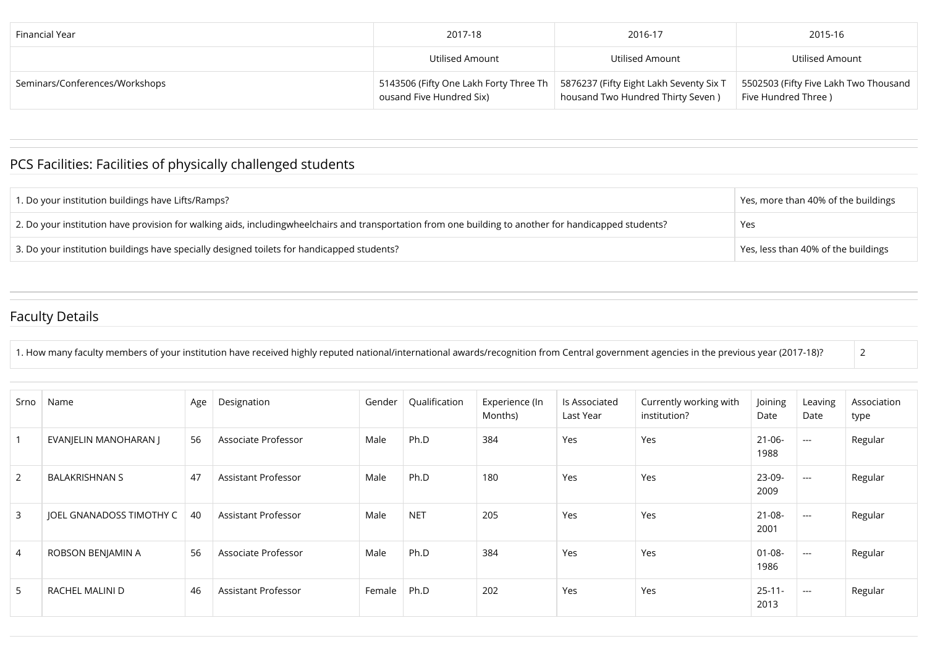| Financial Year                 | 2017-18                                                            | 2016-17                                                                      | 2015-16                                                      |
|--------------------------------|--------------------------------------------------------------------|------------------------------------------------------------------------------|--------------------------------------------------------------|
|                                | Utilised Amount                                                    | Utilised Amount                                                              | Utilised Amount                                              |
| Seminars/Conferences/Workshops | 5143506 (Fifty One Lakh Forty Three Th<br>ousand Five Hundred Six) | 5876237 (Fifty Eight Lakh Seventy Six T<br>housand Two Hundred Thirty Seven) | 5502503 (Fifty Five Lakh Two Thousand<br>Five Hundred Three) |

# PCS Facilities: Facilities of physically challenged students

| 1. Do your institution buildings have Lifts/Ramps?                                                                                                     | Pes, more than 40% of the buildings |
|--------------------------------------------------------------------------------------------------------------------------------------------------------|-------------------------------------|
| 2. Do your institution have provision for walking aids, includingwheelchairs and transportation from one building to another for handicapped students? | Yes                                 |
| 3. Do your institution buildings have specially designed toilets for handicapped students?                                                             | Yes, less than 40% of the buildings |

## Faculty Details

| 1. How many faculty members of your institution have received highly reputed national/international awards/recognition from Central government agencies in the previous year (2017-18)? |  |
|-----------------------------------------------------------------------------------------------------------------------------------------------------------------------------------------|--|
|                                                                                                                                                                                         |  |

| Srno           | Name                     | Age | Designation         | Gender | Qualification | Experience (In<br>Months) | Is Associated<br>Last Year | Currently working with<br>institution? | Joining<br>Date     | Leaving<br>Date      | Association<br>type |
|----------------|--------------------------|-----|---------------------|--------|---------------|---------------------------|----------------------------|----------------------------------------|---------------------|----------------------|---------------------|
| $\mathbf{1}$   | EVANJELIN MANOHARAN J    | 56  | Associate Professor | Male   | Ph.D          | 384                       | Yes                        | Yes                                    | $21 - 06 -$<br>1988 | $\sim$ $\sim$ $\sim$ | Regular             |
| 2              | <b>BALAKRISHNAN S</b>    | 47  | Assistant Professor | Male   | Ph.D          | 180                       | Yes                        | Yes                                    | 23-09-<br>2009      | $\sim$ $\sim$ $\sim$ | Regular             |
| 3              | JOEL GNANADOSS TIMOTHY C | 40  | Assistant Professor | Male   | <b>NET</b>    | 205                       | Yes                        | Yes                                    | $21 - 08 -$<br>2001 | $\sim$ $\sim$ $\sim$ | Regular             |
| $\overline{4}$ | ROBSON BENJAMIN A        | 56  | Associate Professor | Male   | Ph.D          | 384                       | Yes                        | Yes                                    | $01 - 08 -$<br>1986 | $\cdots$             | Regular             |
| 5              | RACHEL MALINI D          | 46  | Assistant Professor | Female | Ph.D          | 202                       | Yes                        | Yes                                    | $25 - 11 -$<br>2013 | $\sim$ $\sim$ $\sim$ | Regular             |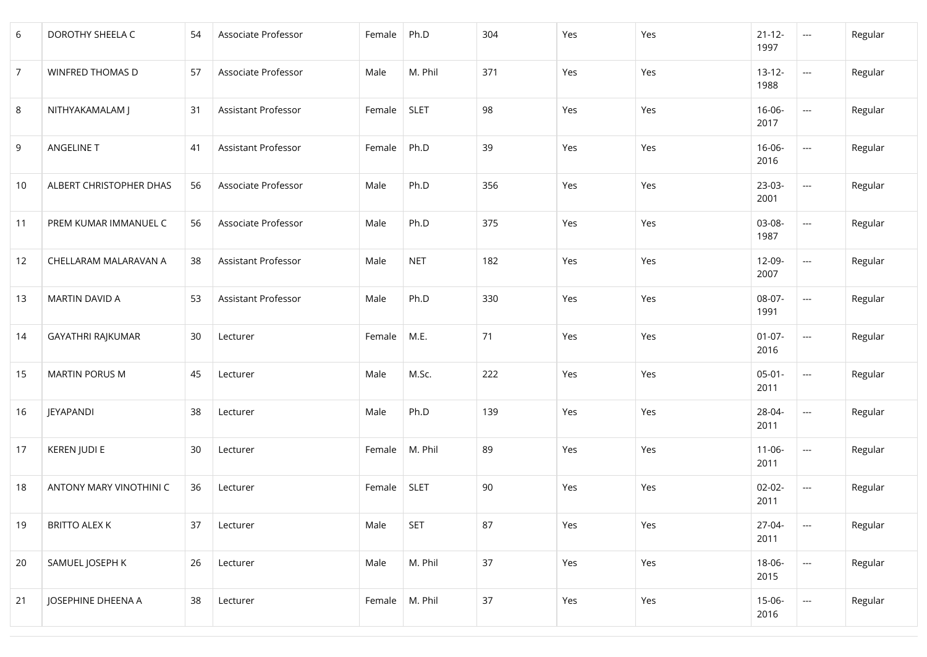| 6  | DOROTHY SHEELA C         | 54 | Associate Professor | Female | Ph.D        | 304 | Yes | Yes | $21 - 12 -$<br>1997 | $\sim$                             | Regular |
|----|--------------------------|----|---------------------|--------|-------------|-----|-----|-----|---------------------|------------------------------------|---------|
| 7  | <b>WINFRED THOMAS D</b>  | 57 | Associate Professor | Male   | M. Phil     | 371 | Yes | Yes | $13 - 12 -$<br>1988 | $\overline{\phantom{a}}$           | Regular |
| 8  | NITHYAKAMALAM J          | 31 | Assistant Professor | Female | <b>SLET</b> | 98  | Yes | Yes | 16-06-<br>2017      | $\overline{\phantom{a}}$           | Regular |
| 9  | ANGELINE T               | 41 | Assistant Professor | Female | Ph.D        | 39  | Yes | Yes | $16 - 06 -$<br>2016 | $\overline{\phantom{a}}$           | Regular |
| 10 | ALBERT CHRISTOPHER DHAS  | 56 | Associate Professor | Male   | Ph.D        | 356 | Yes | Yes | $23-03-$<br>2001    | $\overline{\phantom{a}}$           | Regular |
| 11 | PREM KUMAR IMMANUEL C    | 56 | Associate Professor | Male   | Ph.D        | 375 | Yes | Yes | 03-08-<br>1987      | $\overline{\phantom{a}}$           | Regular |
| 12 | CHELLARAM MALARAVAN A    | 38 | Assistant Professor | Male   | <b>NET</b>  | 182 | Yes | Yes | 12-09-<br>2007      | $\mathbb{Z}^{\mathbb{Z}^{\times}}$ | Regular |
| 13 | MARTIN DAVID A           | 53 | Assistant Professor | Male   | Ph.D        | 330 | Yes | Yes | 08-07-<br>1991      | $\mathbb{Z} \to \mathbb{Z}$        | Regular |
| 14 | <b>GAYATHRI RAJKUMAR</b> | 30 | Lecturer            | Female | M.E.        | 71  | Yes | Yes | $01-07-$<br>2016    | ---                                | Regular |
| 15 | <b>MARTIN PORUS M</b>    | 45 | Lecturer            | Male   | M.Sc.       | 222 | Yes | Yes | $05-01-$<br>2011    | $\hspace{0.05cm} \ldots$           | Regular |
| 16 | JEYAPANDI                | 38 | Lecturer            | Male   | Ph.D        | 139 | Yes | Yes | 28-04-<br>2011      | $\overline{\phantom{a}}$           | Regular |
| 17 | KEREN JUDI E             | 30 | Lecturer            | Female | M. Phil     | 89  | Yes | Yes | $11 - 06 -$<br>2011 | $\overline{\phantom{a}}$           | Regular |
| 18 | ANTONY MARY VINOTHINI C  | 36 | Lecturer            | Female | <b>SLET</b> | 90  | Yes | Yes | $02 - 02 -$<br>2011 | $\overline{\phantom{a}}$           | Regular |
| 19 | <b>BRITTO ALEX K</b>     | 37 | Lecturer            | Male   | <b>SET</b>  | 87  | Yes | Yes | 27-04-<br>2011      | $\overline{\phantom{a}}$           | Regular |
| 20 | SAMUEL JOSEPH K          | 26 | Lecturer            | Male   | M. Phil     | 37  | Yes | Yes | 18-06-<br>2015      | $\overline{\phantom{a}}$           | Regular |
| 21 | JOSEPHINE DHEENA A       | 38 | Lecturer            | Female | M. Phil     | 37  | Yes | Yes | $15 - 06 -$<br>2016 | $\overline{\phantom{a}}$           | Regular |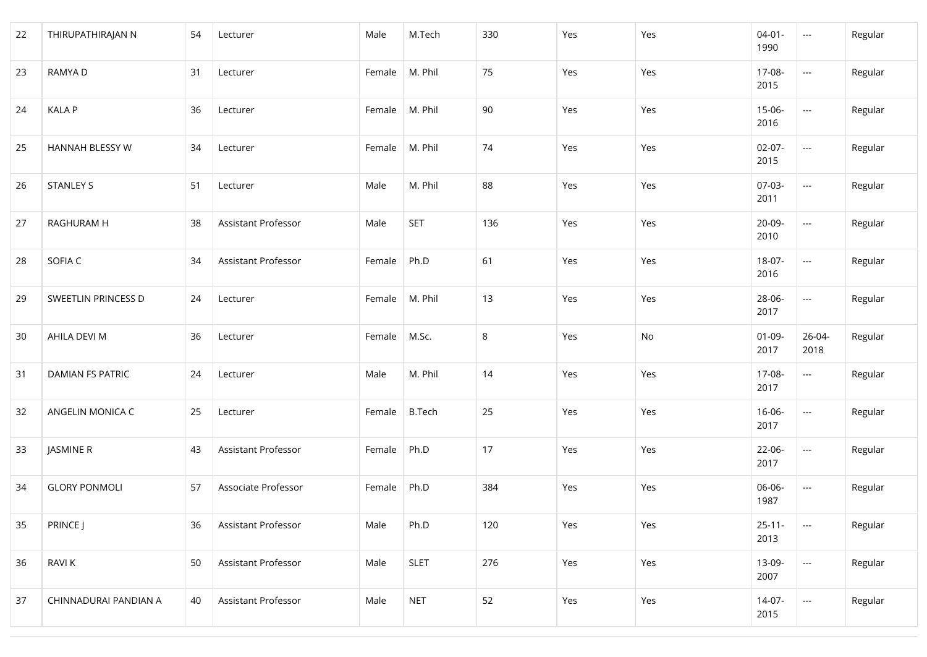| 22 | THIRUPATHIRAJAN N       | 54 | Lecturer            | Male             | M.Tech        | 330 | Yes | Yes | $04 - 01 -$<br>1990 | $\sim$                   | Regular |
|----|-------------------------|----|---------------------|------------------|---------------|-----|-----|-----|---------------------|--------------------------|---------|
| 23 | RAMYA D                 | 31 | Lecturer            | Female           | M. Phil       | 75  | Yes | Yes | 17-08-<br>2015      | $\sim$                   | Regular |
| 24 | <b>KALA P</b>           | 36 | Lecturer            | Female           | M. Phil       | 90  | Yes | Yes | $15-06-$<br>2016    | $\hspace{0.05cm}---$     | Regular |
| 25 | HANNAH BLESSY W         | 34 | Lecturer            | Female           | M. Phil       | 74  | Yes | Yes | $02-07-$<br>2015    | $\mathbb{Z}_{\geq 0}$    | Regular |
| 26 | <b>STANLEY S</b>        | 51 | Lecturer            | Male             | M. Phil       | 88  | Yes | Yes | $07-03-$<br>2011    | $\mathbb{Z}_{\geq 0}$    | Regular |
| 27 | RAGHURAM H              | 38 | Assistant Professor | Male             | <b>SET</b>    | 136 | Yes | Yes | 20-09-<br>2010      | $\hspace{0.05cm}---$     | Regular |
| 28 | SOFIA C                 | 34 | Assistant Professor | Female           | Ph.D          | 61  | Yes | Yes | 18-07-<br>2016      | $\sim$                   | Regular |
| 29 | SWEETLIN PRINCESS D     | 24 | Lecturer            | Female   M. Phil |               | 13  | Yes | Yes | 28-06-<br>2017      | $\sim$                   | Regular |
| 30 | AHILA DEVI M            | 36 | Lecturer            | Female           | M.Sc.         | 8   | Yes | No  | $01-09-$<br>2017    | 26-04-<br>2018           | Regular |
| 31 | <b>DAMIAN FS PATRIC</b> | 24 | Lecturer            | Male             | M. Phil       | 14  | Yes | Yes | 17-08-<br>2017      | $\overline{\phantom{a}}$ | Regular |
| 32 | ANGELIN MONICA C        | 25 | Lecturer            | Female           | <b>B.Tech</b> | 25  | Yes | Yes | $16 - 06 -$<br>2017 | $\overline{\phantom{a}}$ | Regular |
| 33 | JASMINE R               | 43 | Assistant Professor | Female           | Ph.D          | 17  | Yes | Yes | 22-06-<br>2017      | $\overline{\phantom{a}}$ | Regular |
| 34 | <b>GLORY PONMOLI</b>    | 57 | Associate Professor | Female           | Ph.D          | 384 | Yes | Yes | 06-06-<br>1987      | $\sim$ $\sim$            | Regular |
| 35 | PRINCE J                | 36 | Assistant Professor | Male             | Ph.D          | 120 | Yes | Yes | $25 - 11 -$<br>2013 | $\overline{\phantom{a}}$ | Regular |
| 36 | <b>RAVIK</b>            | 50 | Assistant Professor | Male             | <b>SLET</b>   | 276 | Yes | Yes | 13-09-<br>2007      | $\overline{\phantom{a}}$ | Regular |
| 37 | CHINNADURAI PANDIAN A   | 40 | Assistant Professor | Male             | <b>NET</b>    | 52  | Yes | Yes | $14-07-$<br>2015    | $\overline{\phantom{a}}$ | Regular |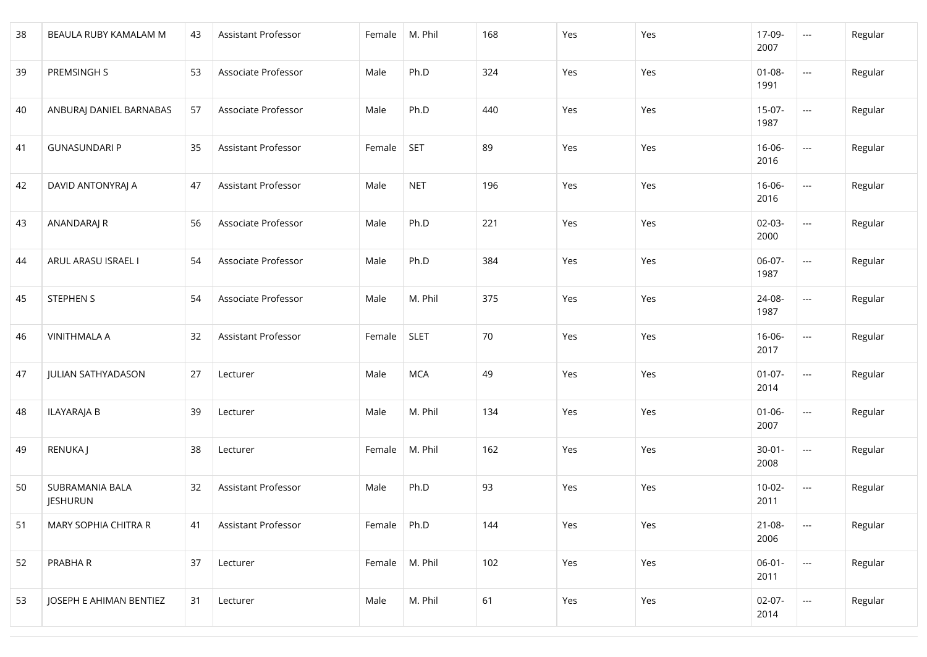| 38 | BEAULA RUBY KAMALAM M              | 43 | Assistant Professor | Female | M. Phil     | 168 | Yes | Yes | 17-09-<br>2007      | $\overline{\phantom{a}}$           | Regular |
|----|------------------------------------|----|---------------------|--------|-------------|-----|-----|-----|---------------------|------------------------------------|---------|
| 39 | PREMSINGH S                        | 53 | Associate Professor | Male   | Ph.D        | 324 | Yes | Yes | $01 - 08 -$<br>1991 | $\hspace{0.05cm}---$               | Regular |
| 40 | ANBURAJ DANIEL BARNABAS            | 57 | Associate Professor | Male   | Ph.D        | 440 | Yes | Yes | $15-07-$<br>1987    | $\hspace{0.05cm} \ldots$           | Regular |
| 41 | <b>GUNASUNDARI P</b>               | 35 | Assistant Professor | Female | <b>SET</b>  | 89  | Yes | Yes | $16 - 06 -$<br>2016 | $\hspace{0.05cm} \ldots$           | Regular |
| 42 | DAVID ANTONYRAJ A                  | 47 | Assistant Professor | Male   | <b>NET</b>  | 196 | Yes | Yes | $16 - 06 -$<br>2016 | $\overline{\phantom{a}}$           | Regular |
| 43 | ANANDARAJ R                        | 56 | Associate Professor | Male   | Ph.D        | 221 | Yes | Yes | $02 - 03 -$<br>2000 | $\overline{\phantom{a}}$           | Regular |
| 44 | ARUL ARASU ISRAEL I                | 54 | Associate Professor | Male   | Ph.D        | 384 | Yes | Yes | 06-07-<br>1987      | $\mathbb{Z}^{\mathbb{Z}^{\times}}$ | Regular |
| 45 | <b>STEPHEN S</b>                   | 54 | Associate Professor | Male   | M. Phil     | 375 | Yes | Yes | 24-08-<br>1987      | $\mathbb{Z} \to \mathbb{Z}$        | Regular |
| 46 | <b>VINITHMALA A</b>                | 32 | Assistant Professor | Female | <b>SLET</b> | 70  | Yes | Yes | $16 - 06 -$<br>2017 | ---                                | Regular |
| 47 | <b>JULIAN SATHYADASON</b>          | 27 | Lecturer            | Male   | <b>MCA</b>  | 49  | Yes | Yes | $01-07-$<br>2014    | $\hspace{0.05cm} \ldots$           | Regular |
| 48 | ILAYARAJA B                        | 39 | Lecturer            | Male   | M. Phil     | 134 | Yes | Yes | $01 - 06 -$<br>2007 | $\hspace{0.05cm} \ldots$           | Regular |
| 49 | RENUKA J                           | 38 | Lecturer            | Female | M. Phil     | 162 | Yes | Yes | $30 - 01 -$<br>2008 | $\hspace{0.05cm} \ldots$           | Regular |
| 50 | SUBRAMANIA BALA<br><b>JESHURUN</b> | 32 | Assistant Professor | Male   | Ph.D        | 93  | Yes | Yes | $10-02-$<br>2011    | $\hspace{0.05cm} \ldots$           | Regular |
| 51 | MARY SOPHIA CHITRA R               | 41 | Assistant Professor | Female | Ph.D        | 144 | Yes | Yes | $21 - 08 -$<br>2006 | $\hspace{0.05cm} \ldots$           | Regular |
| 52 | PRABHA R                           | 37 | Lecturer            | Female | M. Phil     | 102 | Yes | Yes | $06-01 -$<br>2011   | $\overline{\phantom{a}}$           | Regular |
| 53 | JOSEPH E AHIMAN BENTIEZ            | 31 | Lecturer            | Male   | M. Phil     | 61  | Yes | Yes | $02-07-$<br>2014    | $\overline{\phantom{a}}$           | Regular |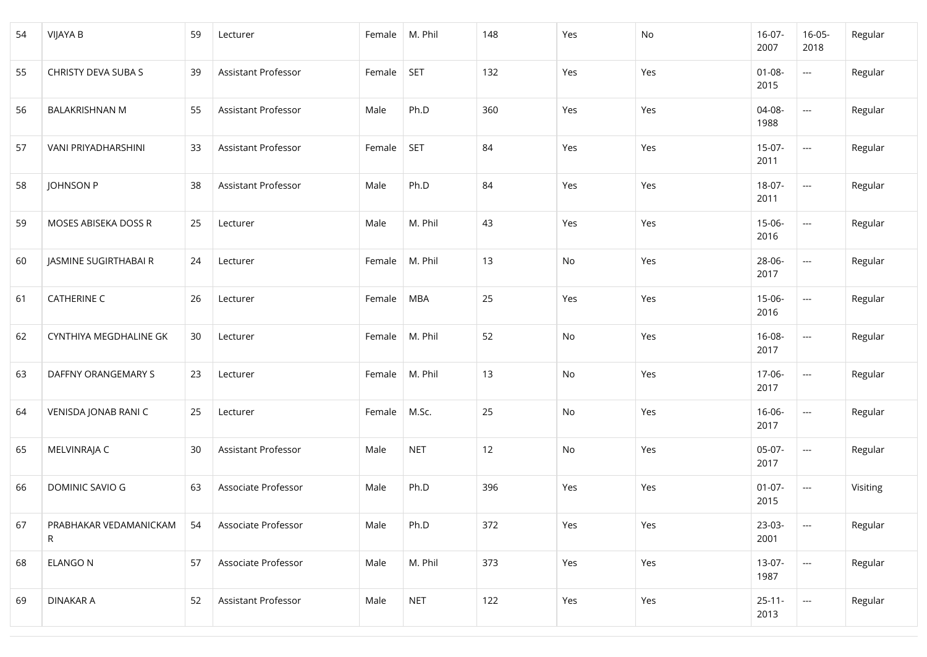| 54 | <b>VIJAYA B</b>             | 59 | Lecturer            | Female | M. Phil    | 148 | Yes | No  | $16-07-$<br>2007    | $16 - 05 -$<br>2018                | Regular  |
|----|-----------------------------|----|---------------------|--------|------------|-----|-----|-----|---------------------|------------------------------------|----------|
| 55 | CHRISTY DEVA SUBA S         | 39 | Assistant Professor | Female | <b>SET</b> | 132 | Yes | Yes | $01 - 08 -$<br>2015 | ---                                | Regular  |
| 56 | <b>BALAKRISHNAN M</b>       | 55 | Assistant Professor | Male   | Ph.D       | 360 | Yes | Yes | 04-08-<br>1988      | $\hspace{0.05cm} \ldots$           | Regular  |
| 57 | VANI PRIYADHARSHINI         | 33 | Assistant Professor | Female | <b>SET</b> | 84  | Yes | Yes | $15-07-$<br>2011    | $\mathbb{Z}^{\mathbb{Z}^{\times}}$ | Regular  |
| 58 | JOHNSON P                   | 38 | Assistant Professor | Male   | Ph.D       | 84  | Yes | Yes | $18-07-$<br>2011    | $\overline{a}$                     | Regular  |
| 59 | MOSES ABISEKA DOSS R        | 25 | Lecturer            | Male   | M. Phil    | 43  | Yes | Yes | $15 - 06 -$<br>2016 | $\overline{\phantom{a}}$           | Regular  |
| 60 | JASMINE SUGIRTHABAI R       | 24 | Lecturer            | Female | M. Phil    | 13  | No  | Yes | 28-06-<br>2017      | $\overline{a}$                     | Regular  |
| 61 | <b>CATHERINE C</b>          | 26 | Lecturer            | Female | <b>MBA</b> | 25  | Yes | Yes | $15 - 06 -$<br>2016 | $\hspace{0.05cm} \ldots$           | Regular  |
| 62 | CYNTHIYA MEGDHALINE GK      | 30 | Lecturer            | Female | M. Phil    | 52  | No  | Yes | $16 - 08 -$<br>2017 | ---                                | Regular  |
| 63 | DAFFNY ORANGEMARY S         | 23 | Lecturer            | Female | M. Phil    | 13  | No  | Yes | 17-06-<br>2017      | ---                                | Regular  |
| 64 | VENISDA JONAB RANI C        | 25 | Lecturer            | Female | M.Sc.      | 25  | No  | Yes | $16 - 06 -$<br>2017 | $\hspace{0.05cm} \ldots$           | Regular  |
| 65 | MELVINRAJA C                | 30 | Assistant Professor | Male   | <b>NET</b> | 12  | No  | Yes | $05-07-$<br>2017    | $\mathbb{Z} \to \mathbb{Z}$        | Regular  |
| 66 | DOMINIC SAVIO G             | 63 | Associate Professor | Male   | Ph.D       | 396 | Yes | Yes | $01-07-$<br>2015    | ---                                | Visiting |
| 67 | PRABHAKAR VEDAMANICKAM<br>R | 54 | Associate Professor | Male   | Ph.D       | 372 | Yes | Yes | $23-03-$<br>2001    | $\overline{\phantom{a}}$           | Regular  |
| 68 | <b>ELANGO N</b>             | 57 | Associate Professor | Male   | M. Phil    | 373 | Yes | Yes | $13-07-$<br>1987    | $\overline{\phantom{a}}$           | Regular  |
| 69 | DINAKAR A                   | 52 | Assistant Professor | Male   | <b>NET</b> | 122 | Yes | Yes | $25 - 11 -$<br>2013 | ---                                | Regular  |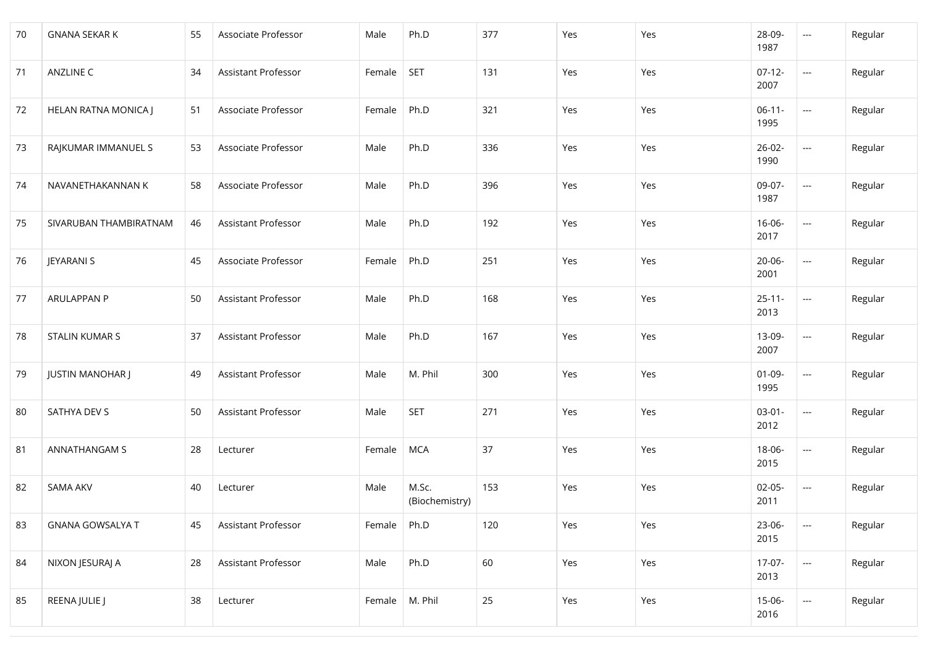| 70 | <b>GNANA SEKAR K</b>    | 55 | Associate Professor | Male   | Ph.D                    | 377 | Yes | Yes | 28-09-<br>1987      | $\hspace{0.05cm} \ldots$           | Regular |
|----|-------------------------|----|---------------------|--------|-------------------------|-----|-----|-----|---------------------|------------------------------------|---------|
| 71 | ANZLINE C               | 34 | Assistant Professor | Female | <b>SET</b>              | 131 | Yes | Yes | $07-12-$<br>2007    | $\overline{\phantom{a}}$           | Regular |
| 72 | HELAN RATNA MONICA J    | 51 | Associate Professor | Female | Ph.D                    | 321 | Yes | Yes | $06-11-$<br>1995    | $\hspace{0.05cm} \ldots$           | Regular |
| 73 | RAJKUMAR IMMANUEL S     | 53 | Associate Professor | Male   | Ph.D                    | 336 | Yes | Yes | $26 - 02 -$<br>1990 | $\mathbb{Z}^{\mathbb{Z}^{\times}}$ | Regular |
| 74 | NAVANETHAKANNAN K       | 58 | Associate Professor | Male   | Ph.D                    | 396 | Yes | Yes | 09-07-<br>1987      | $\overline{a}$                     | Regular |
| 75 | SIVARUBAN THAMBIRATNAM  | 46 | Assistant Professor | Male   | Ph.D                    | 192 | Yes | Yes | 16-06-<br>2017      | $\overline{\phantom{a}}$           | Regular |
| 76 | JEYARANI S              | 45 | Associate Professor | Female | Ph.D                    | 251 | Yes | Yes | 20-06-<br>2001      | $\overline{a}$                     | Regular |
| 77 | <b>ARULAPPAN P</b>      | 50 | Assistant Professor | Male   | Ph.D                    | 168 | Yes | Yes | $25 - 11 -$<br>2013 | $\hspace{0.05cm} \ldots$           | Regular |
| 78 | <b>STALIN KUMAR S</b>   | 37 | Assistant Professor | Male   | Ph.D                    | 167 | Yes | Yes | 13-09-<br>2007      | $\hspace{0.05cm}---$               | Regular |
| 79 | <b>JUSTIN MANOHAR J</b> | 49 | Assistant Professor | Male   | M. Phil                 | 300 | Yes | Yes | $01 - 09 -$<br>1995 | ---                                | Regular |
| 80 | SATHYA DEV S            | 50 | Assistant Professor | Male   | <b>SET</b>              | 271 | Yes | Yes | $03 - 01 -$<br>2012 | $\mathbb{Z} \to \mathbb{Z}$        | Regular |
| 81 | ANNATHANGAM S           | 28 | Lecturer            | Female | <b>MCA</b>              | 37  | Yes | Yes | $18 - 06 -$<br>2015 | $\overline{\phantom{a}}$           | Regular |
| 82 | <b>SAMA AKV</b>         | 40 | Lecturer            | Male   | M.Sc.<br>(Biochemistry) | 153 | Yes | Yes | $02-05-$<br>2011    | ---                                | Regular |
| 83 | <b>GNANA GOWSALYA T</b> | 45 | Assistant Professor | Female | Ph.D                    | 120 | Yes | Yes | 23-06-<br>2015      | $\overline{\phantom{a}}$           | Regular |
| 84 | NIXON JESURAJ A         | 28 | Assistant Professor | Male   | Ph.D                    | 60  | Yes | Yes | $17-07-$<br>2013    | $\overline{\phantom{a}}$           | Regular |
| 85 | REENA JULIE J           | 38 | Lecturer            | Female | M. Phil                 | 25  | Yes | Yes | $15-06-$<br>2016    | ---                                | Regular |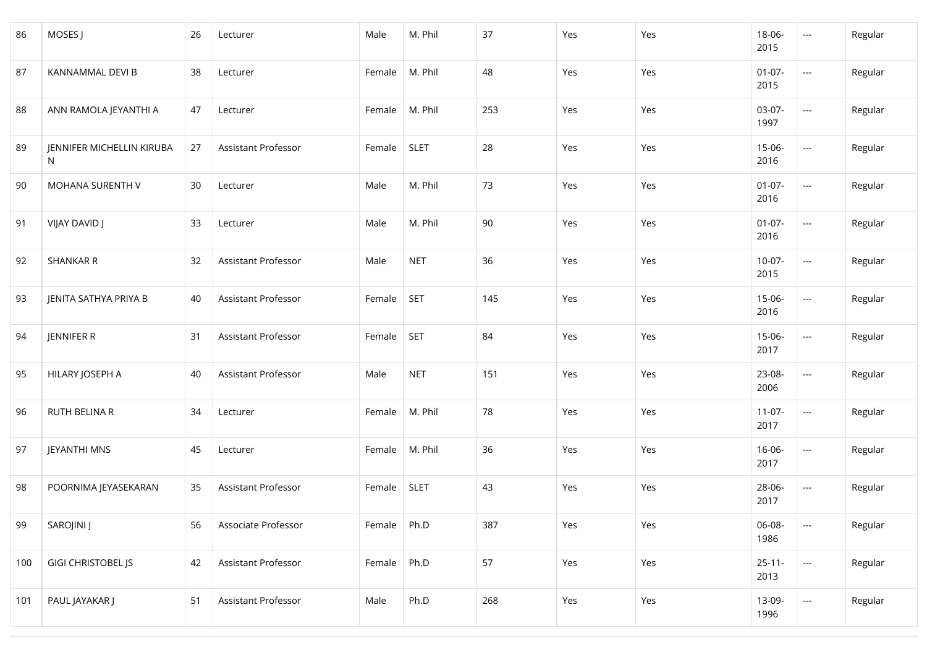| 86  | MOSES J                        | 26 | Lecturer            | Male   | M. Phil     | 37  | Yes | Yes | $18 - 06 -$<br>2015 | $\mathbb{Z} \mathbb{Z} \mathbb{Z}$ | Regular |
|-----|--------------------------------|----|---------------------|--------|-------------|-----|-----|-----|---------------------|------------------------------------|---------|
| 87  | KANNAMMAL DEVI B               | 38 | Lecturer            | Female | M. Phil     | 48  | Yes | Yes | $01-07-$<br>2015    | $\hspace{0.05cm} \ldots$           | Regular |
| 88  | ANN RAMOLA JEYANTHI A          | 47 | Lecturer            | Female | M. Phil     | 253 | Yes | Yes | 03-07-<br>1997      | $\overline{\phantom{a}}$           | Regular |
| 89  | JENNIFER MICHELLIN KIRUBA<br>N | 27 | Assistant Professor | Female | <b>SLET</b> | 28  | Yes | Yes | $15-06-$<br>2016    | $\mathbb{Z} \mathbb{Z} \mathbb{Z}$ | Regular |
| 90  | MOHANA SURENTH V               | 30 | Lecturer            | Male   | M. Phil     | 73  | Yes | Yes | $01-07-$<br>2016    | $\sim$                             | Regular |
| 91  | VIJAY DAVID J                  | 33 | Lecturer            | Male   | M. Phil     | 90  | Yes | Yes | $01-07-$<br>2016    | $\overline{\phantom{a}}$           | Regular |
| 92  | <b>SHANKAR R</b>               | 32 | Assistant Professor | Male   | <b>NET</b>  | 36  | Yes | Yes | $10-07-$<br>2015    | $\mathbb{Z} \mathbb{Z} \mathbb{Z}$ | Regular |
| 93  | JENITA SATHYA PRIYA B          | 40 | Assistant Professor | Female | <b>SET</b>  | 145 | Yes | Yes | $15 - 06 -$<br>2016 | $\mathbb{Z} \mathbb{Z} \mathbb{Z}$ | Regular |
| 94  | JENNIFER R                     | 31 | Assistant Professor | Female | <b>SET</b>  | 84  | Yes | Yes | $15-06-$<br>2017    | $\hspace{0.05cm} \ldots$           | Regular |
| 95  | HILARY JOSEPH A                | 40 | Assistant Professor | Male   | <b>NET</b>  | 151 | Yes | Yes | 23-08-<br>2006      | $\overline{\phantom{a}}$           | Regular |
| 96  | RUTH BELINA R                  | 34 | Lecturer            | Female | M. Phil     | 78  | Yes | Yes | $11-07-$<br>2017    | $\mathbb{Z} \mathbb{Z} \mathbb{Z}$ | Regular |
| 97  | JEYANTHI MNS                   | 45 | Lecturer            | Female | M. Phil     | 36  | Yes | Yes | 16-06-<br>2017      | $\hspace{0.05cm} \ldots$           | Regular |
| 98  | POORNIMA JEYASEKARAN           | 35 | Assistant Professor | Female | <b>SLET</b> | 43  | Yes | Yes | 28-06-<br>2017      | $\overline{\phantom{a}}$           | Regular |
| 99  | SAROJINI J                     | 56 | Associate Professor | Female | Ph.D        | 387 | Yes | Yes | 06-08-<br>1986      | $\hspace{0.05cm} \ldots$           | Regular |
| 100 | <b>GIGI CHRISTOBEL JS</b>      | 42 | Assistant Professor | Female | Ph.D        | 57  | Yes | Yes | $25 - 11 -$<br>2013 | $\overline{\phantom{a}}$           | Regular |
| 101 | PAUL JAYAKAR J                 | 51 | Assistant Professor | Male   | Ph.D        | 268 | Yes | Yes | 13-09-<br>1996      | $\qquad \qquad \cdots$             | Regular |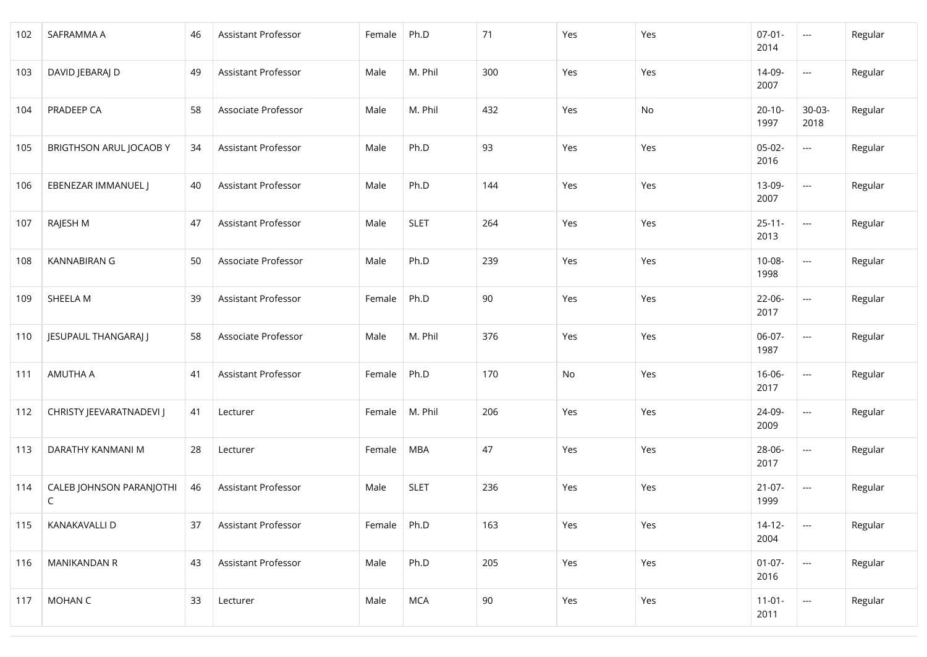| 102 | SAFRAMMA A                              | 46 | Assistant Professor | Female | Ph.D        | 71  | Yes | Yes | $07 - 01 -$<br>2014 | $\hspace{0.05cm} \ldots$ | Regular |
|-----|-----------------------------------------|----|---------------------|--------|-------------|-----|-----|-----|---------------------|--------------------------|---------|
| 103 | DAVID JEBARAJ D                         | 49 | Assistant Professor | Male   | M. Phil     | 300 | Yes | Yes | 14-09-<br>2007      | $\qquad \qquad \cdots$   | Regular |
| 104 | PRADEEP CA                              | 58 | Associate Professor | Male   | M. Phil     | 432 | Yes | No  | $20 - 10 -$<br>1997 | $30 - 03 -$<br>2018      | Regular |
| 105 | <b>BRIGTHSON ARUL JOCAOBY</b>           | 34 | Assistant Professor | Male   | Ph.D        | 93  | Yes | Yes | $05-02-$<br>2016    | $\overline{\phantom{a}}$ | Regular |
| 106 | EBENEZAR IMMANUEL J                     | 40 | Assistant Professor | Male   | Ph.D        | 144 | Yes | Yes | 13-09-<br>2007      | $\overline{a}$           | Regular |
| 107 | RAJESH M                                | 47 | Assistant Professor | Male   | <b>SLET</b> | 264 | Yes | Yes | $25 - 11 -$<br>2013 | $\sim$ $\sim$            | Regular |
| 108 | <b>KANNABIRAN G</b>                     | 50 | Associate Professor | Male   | Ph.D        | 239 | Yes | Yes | $10 - 08 -$<br>1998 | $\qquad \qquad \cdots$   | Regular |
| 109 | SHEELA M                                | 39 | Assistant Professor | Female | Ph.D        | 90  | Yes | Yes | $22 - 06 -$<br>2017 | $\overline{\phantom{a}}$ | Regular |
| 110 | JESUPAUL THANGARAJ J                    | 58 | Associate Professor | Male   | M. Phil     | 376 | Yes | Yes | 06-07-<br>1987      | $\overline{\phantom{a}}$ | Regular |
| 111 | AMUTHA A                                | 41 | Assistant Professor | Female | Ph.D        | 170 | No  | Yes | $16 - 06 -$<br>2017 | $\overline{\phantom{a}}$ | Regular |
| 112 | CHRISTY JEEVARATNADEVI J                | 41 | Lecturer            | Female | M. Phil     | 206 | Yes | Yes | 24-09-<br>2009      | $---$                    | Regular |
| 113 | DARATHY KANMANI M                       | 28 | Lecturer            | Female | <b>MBA</b>  | 47  | Yes | Yes | 28-06-<br>2017      | $---$                    | Regular |
| 114 | CALEB JOHNSON PARANJOTHI<br>$\mathsf C$ | 46 | Assistant Professor | Male   | <b>SLET</b> | 236 | Yes | Yes | $21-07-$<br>1999    | ---                      | Regular |
| 115 | KANAKAVALLI D                           | 37 | Assistant Professor | Female | Ph.D        | 163 | Yes | Yes | $14-12-$<br>2004    | $\overline{\phantom{a}}$ | Regular |
| 116 | MANIKANDAN R                            | 43 | Assistant Professor | Male   | Ph.D        | 205 | Yes | Yes | $01-07-$<br>2016    | $\overline{\phantom{a}}$ | Regular |
| 117 | MOHAN C                                 | 33 | Lecturer            | Male   | <b>MCA</b>  | 90  | Yes | Yes | $11-01-$<br>2011    | ---                      | Regular |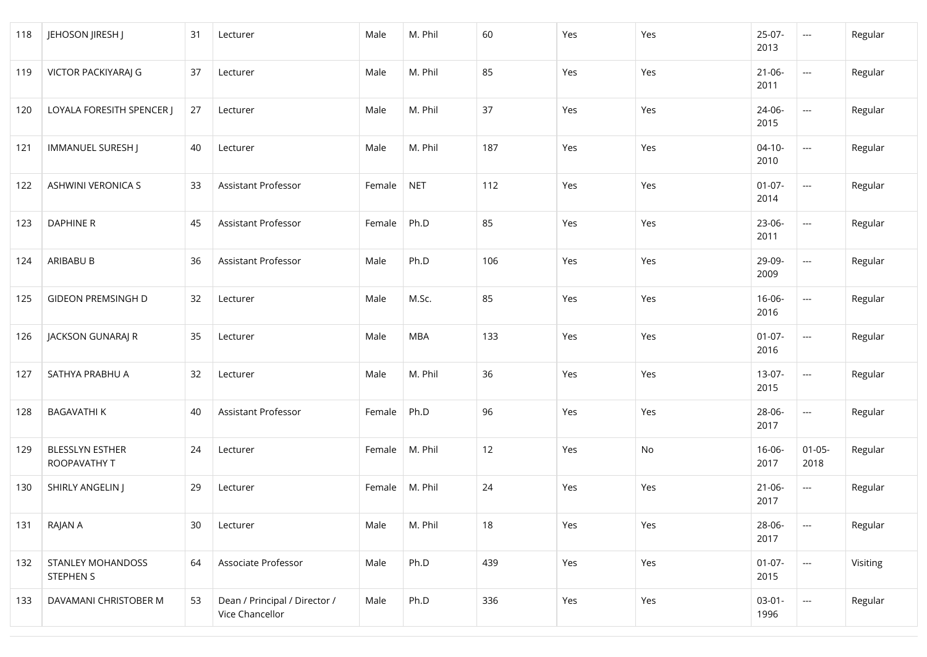| 118 | JEHOSON JIRESH J                       | 31 | Lecturer                                         | Male             | M. Phil    | 60  | Yes | Yes | 25-07-<br>2013      | $\sim$                             | Regular  |
|-----|----------------------------------------|----|--------------------------------------------------|------------------|------------|-----|-----|-----|---------------------|------------------------------------|----------|
| 119 | VICTOR PACKIYARAJ G                    | 37 | Lecturer                                         | Male             | M. Phil    | 85  | Yes | Yes | $21 - 06 -$<br>2011 | $\hspace{0.05cm} \ldots$           | Regular  |
| 120 | LOYALA FORESITH SPENCER J              | 27 | Lecturer                                         | Male             | M. Phil    | 37  | Yes | Yes | 24-06-<br>2015      | $\hspace{0.05cm} \ldots$           | Regular  |
| 121 | IMMANUEL SURESH J                      | 40 | Lecturer                                         | Male             | M. Phil    | 187 | Yes | Yes | $04-10-$<br>2010    | $\hspace{0.05cm} \ldots$           | Regular  |
| 122 | <b>ASHWINI VERONICA S</b>              | 33 | Assistant Professor                              | Female           | <b>NET</b> | 112 | Yes | Yes | $01-07-$<br>2014    | $\mathbb{Z}^{\mathbb{Z}^{\times}}$ | Regular  |
| 123 | <b>DAPHINE R</b>                       | 45 | Assistant Professor                              | Female           | Ph.D       | 85  | Yes | Yes | 23-06-<br>2011      | $\overline{\phantom{a}}$           | Regular  |
| 124 | ARIBABU B                              | 36 | Assistant Professor                              | Male             | Ph.D       | 106 | Yes | Yes | 29-09-<br>2009      | $\mathbb{Z}^{\mathbb{Z}^{\times}}$ | Regular  |
| 125 | <b>GIDEON PREMSINGH D</b>              | 32 | Lecturer                                         | Male             | M.Sc.      | 85  | Yes | Yes | $16 - 06 -$<br>2016 | $\hspace{0.05cm} \ldots$           | Regular  |
| 126 | JACKSON GUNARAJ R                      | 35 | Lecturer                                         | Male             | MBA        | 133 | Yes | Yes | $01-07-$<br>2016    | ---                                | Regular  |
| 127 | SATHYA PRABHU A                        | 32 | Lecturer                                         | Male             | M. Phil    | 36  | Yes | Yes | $13-07-$<br>2015    | $\hspace{0.05cm} \ldots$           | Regular  |
| 128 | <b>BAGAVATHIK</b>                      | 40 | Assistant Professor                              | Female           | Ph.D       | 96  | Yes | Yes | 28-06-<br>2017      | $\overline{\phantom{a}}$           | Regular  |
| 129 | <b>BLESSLYN ESTHER</b><br>ROOPAVATHY T | 24 | Lecturer                                         | Female           | M. Phil    | 12  | Yes | No  | $16 - 06 -$<br>2017 | $01 - 05 -$<br>2018                | Regular  |
| 130 | SHIRLY ANGELIN J                       | 29 | Lecturer                                         | Female   M. Phil |            | 24  | Yes | Yes | $21 - 06 -$<br>2017 | ---                                | Regular  |
| 131 | RAJAN A                                | 30 | Lecturer                                         | Male             | M. Phil    | 18  | Yes | Yes | 28-06-<br>2017      | $\hspace{0.05cm} \ldots$           | Regular  |
| 132 | STANLEY MOHANDOSS<br><b>STEPHEN S</b>  | 64 | Associate Professor                              | Male             | Ph.D       | 439 | Yes | Yes | $01-07-$<br>2015    | $\overline{\phantom{a}}$           | Visiting |
| 133 | DAVAMANI CHRISTOBER M                  | 53 | Dean / Principal / Director /<br>Vice Chancellor | Male             | Ph.D       | 336 | Yes | Yes | $03 - 01 -$<br>1996 | $\overline{\phantom{a}}$           | Regular  |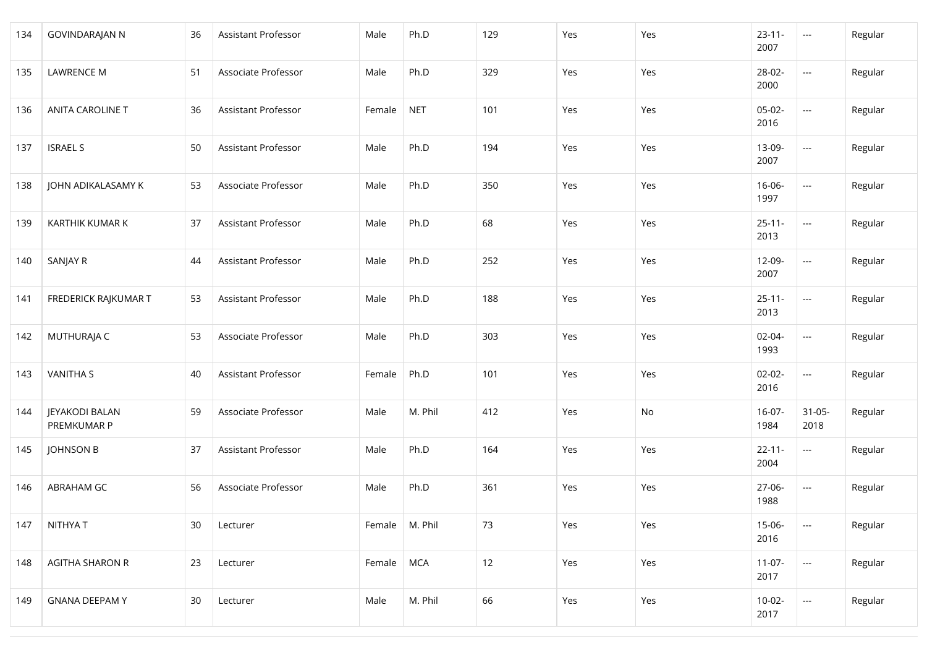| 134 | <b>GOVINDARAJAN N</b>                | 36 | Assistant Professor | Male   | Ph.D       | 129 | Yes | Yes | $23 - 11 -$<br>2007 | $\sim$                   | Regular |
|-----|--------------------------------------|----|---------------------|--------|------------|-----|-----|-----|---------------------|--------------------------|---------|
| 135 | <b>LAWRENCE M</b>                    | 51 | Associate Professor | Male   | Ph.D       | 329 | Yes | Yes | 28-02-<br>2000      | $\overline{\phantom{a}}$ | Regular |
| 136 | <b>ANITA CAROLINE T</b>              | 36 | Assistant Professor | Female | <b>NET</b> | 101 | Yes | Yes | $05-02-$<br>2016    | $\overline{\phantom{a}}$ | Regular |
| 137 | <b>ISRAEL S</b>                      | 50 | Assistant Professor | Male   | Ph.D       | 194 | Yes | Yes | 13-09-<br>2007      | $---$                    | Regular |
| 138 | JOHN ADIKALASAMY K                   | 53 | Associate Professor | Male   | Ph.D       | 350 | Yes | Yes | $16 - 06 -$<br>1997 | $\overline{\phantom{a}}$ | Regular |
| 139 | KARTHIK KUMAR K                      | 37 | Assistant Professor | Male   | Ph.D       | 68  | Yes | Yes | $25 - 11 -$<br>2013 | $\overline{\phantom{a}}$ | Regular |
| 140 | SANJAY R                             | 44 | Assistant Professor | Male   | Ph.D       | 252 | Yes | Yes | 12-09-<br>2007      | $---$                    | Regular |
| 141 | FREDERICK RAJKUMAR T                 | 53 | Assistant Professor | Male   | Ph.D       | 188 | Yes | Yes | $25 - 11 -$<br>2013 | $---$                    | Regular |
| 142 | MUTHURAJA C                          | 53 | Associate Professor | Male   | Ph.D       | 303 | Yes | Yes | $02 - 04 -$<br>1993 | ---                      | Regular |
| 143 | <b>VANITHA S</b>                     | 40 | Assistant Professor | Female | Ph.D       | 101 | Yes | Yes | $02 - 02 -$<br>2016 | $\overline{\phantom{a}}$ | Regular |
| 144 | <b>JEYAKODI BALAN</b><br>PREMKUMAR P | 59 | Associate Professor | Male   | M. Phil    | 412 | Yes | No  | $16-07-$<br>1984    | $31 - 05 -$<br>2018      | Regular |
| 145 | <b>JOHNSON B</b>                     | 37 | Assistant Professor | Male   | Ph.D       | 164 | Yes | Yes | $22 - 11 -$<br>2004 | $\overline{\phantom{a}}$ | Regular |
| 146 | ABRAHAM GC                           | 56 | Associate Professor | Male   | Ph.D       | 361 | Yes | Yes | 27-06-<br>1988      | $\overline{\phantom{a}}$ | Regular |
| 147 | NITHYA T                             | 30 | Lecturer            | Female | M. Phil    | 73  | Yes | Yes | $15 - 06 -$<br>2016 | $\overline{\phantom{a}}$ | Regular |
| 148 | <b>AGITHA SHARON R</b>               | 23 | Lecturer            | Female | MCA        | 12  | Yes | Yes | $11-07-$<br>2017    | $\overline{\phantom{a}}$ | Regular |
| 149 | <b>GNANA DEEPAMY</b>                 | 30 | Lecturer            | Male   | M. Phil    | 66  | Yes | Yes | $10-02-$<br>2017    | $\overline{\phantom{a}}$ | Regular |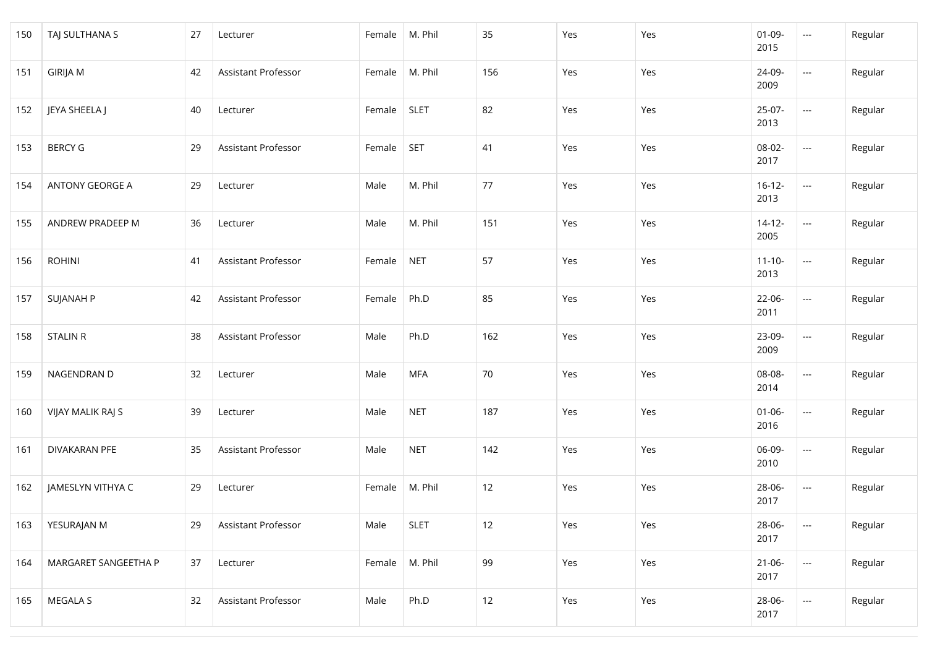| 150 | TAJ SULTHANA S       | 27 | Lecturer            | Female   M. Phil |             | 35  | Yes | Yes | $01 - 09 -$<br>2015 | $\sim$                                              | Regular |
|-----|----------------------|----|---------------------|------------------|-------------|-----|-----|-----|---------------------|-----------------------------------------------------|---------|
| 151 | <b>GIRIJA M</b>      | 42 | Assistant Professor | Female           | M. Phil     | 156 | Yes | Yes | 24-09-<br>2009      | $\hspace{0.05cm} \ldots$                            | Regular |
| 152 | JEYA SHEELA J        | 40 | Lecturer            | Female           | <b>SLET</b> | 82  | Yes | Yes | $25-07-$<br>2013    | $\hspace{0.05cm} \ldots$                            | Regular |
| 153 | <b>BERCY G</b>       | 29 | Assistant Professor | Female           | <b>SET</b>  | 41  | Yes | Yes | 08-02-<br>2017      | $\overline{\phantom{a}}$                            | Regular |
| 154 | ANTONY GEORGE A      | 29 | Lecturer            | Male             | M. Phil     | 77  | Yes | Yes | $16 - 12 -$<br>2013 | $\hspace{0.05cm} \ldots$                            | Regular |
| 155 | ANDREW PRADEEP M     | 36 | Lecturer            | Male             | M. Phil     | 151 | Yes | Yes | $14 - 12 -$<br>2005 | ---                                                 | Regular |
| 156 | <b>ROHINI</b>        | 41 | Assistant Professor | Female           | <b>NET</b>  | 57  | Yes | Yes | $11 - 10 -$<br>2013 | $\hspace{0.05cm} \ldots$                            | Regular |
| 157 | <b>SUJANAH P</b>     | 42 | Assistant Professor | Female           | Ph.D        | 85  | Yes | Yes | 22-06-<br>2011      | $\hspace{0.05cm} \ldots$                            | Regular |
| 158 | <b>STALIN R</b>      | 38 | Assistant Professor | Male             | Ph.D        | 162 | Yes | Yes | 23-09-<br>2009      | $\hspace{0.05cm} \ldots$                            | Regular |
| 159 | NAGENDRAN D          | 32 | Lecturer            | Male             | <b>MFA</b>  | 70  | Yes | Yes | 08-08-<br>2014      | ---                                                 | Regular |
| 160 | VIJAY MALIK RAJ S    | 39 | Lecturer            | Male             | <b>NET</b>  | 187 | Yes | Yes | $01 - 06 -$<br>2016 | $\hspace{0.05cm} \ldots$                            | Regular |
| 161 | DIVAKARAN PFE        | 35 | Assistant Professor | Male             | <b>NET</b>  | 142 | Yes | Yes | 06-09-<br>2010      | $\hspace{0.05cm} \ldots$                            | Regular |
| 162 | JAMESLYN VITHYA C    | 29 | Lecturer            | Female   M. Phil |             | 12  | Yes | Yes | 28-06-<br>2017      | ---                                                 | Regular |
| 163 | YESURAJAN M          | 29 | Assistant Professor | Male             | <b>SLET</b> | 12  | Yes | Yes | 28-06-<br>2017      | $\hspace{0.05cm} \ldots$                            | Regular |
| 164 | MARGARET SANGEETHA P | 37 | Lecturer            | Female           | M. Phil     | 99  | Yes | Yes | $21 - 06 -$<br>2017 | $\mathbb{H}^{\mathbb{H}^{\mathbb{H}}}_{\mathbb{H}}$ | Regular |
| 165 | MEGALA S             | 32 | Assistant Professor | Male             | Ph.D        | 12  | Yes | Yes | 28-06-<br>2017      | $\hspace{0.05cm} \ldots$                            | Regular |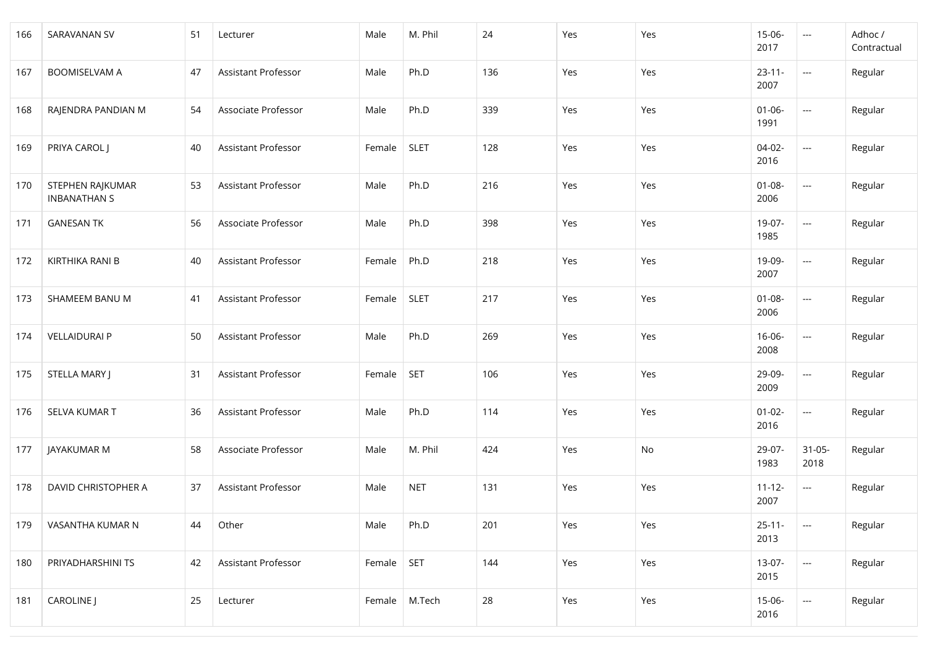| 166 | <b>SARAVANAN SV</b>                     | 51 | Lecturer                   | Male   | M. Phil     | 24  | Yes | Yes | $15 - 06 -$<br>2017 | $\sim$ $\sim$            | Adhoc /<br>Contractual |
|-----|-----------------------------------------|----|----------------------------|--------|-------------|-----|-----|-----|---------------------|--------------------------|------------------------|
| 167 | <b>BOOMISELVAM A</b>                    | 47 | Assistant Professor        | Male   | Ph.D        | 136 | Yes | Yes | $23 - 11 -$<br>2007 | $\hspace{0.05cm} \ldots$ | Regular                |
| 168 | RAJENDRA PANDIAN M                      | 54 | Associate Professor        | Male   | Ph.D        | 339 | Yes | Yes | $01 - 06 -$<br>1991 | $\overline{\phantom{a}}$ | Regular                |
| 169 | PRIYA CAROL J                           | 40 | Assistant Professor        | Female | <b>SLET</b> | 128 | Yes | Yes | $04-02-$<br>2016    | $\overline{\phantom{a}}$ | Regular                |
| 170 | STEPHEN RAJKUMAR<br><b>INBANATHAN S</b> | 53 | Assistant Professor        | Male   | Ph.D        | 216 | Yes | Yes | $01 - 08 -$<br>2006 | $\overline{\phantom{a}}$ | Regular                |
| 171 | <b>GANESAN TK</b>                       | 56 | Associate Professor        | Male   | Ph.D        | 398 | Yes | Yes | 19-07-<br>1985      | $\overline{\phantom{a}}$ | Regular                |
| 172 | KIRTHIKA RANI B                         | 40 | Assistant Professor        | Female | Ph.D        | 218 | Yes | Yes | 19-09-<br>2007      | $\overline{\phantom{a}}$ | Regular                |
| 173 | SHAMEEM BANU M                          | 41 | Assistant Professor        | Female | <b>SLET</b> | 217 | Yes | Yes | $01 - 08 -$<br>2006 | $\sim$                   | Regular                |
| 174 | <b>VELLAIDURAI P</b>                    | 50 | <b>Assistant Professor</b> | Male   | Ph.D        | 269 | Yes | Yes | $16 - 06 -$<br>2008 | $\hspace{0.05cm} \ldots$ | Regular                |
| 175 | STELLA MARY J                           | 31 | Assistant Professor        | Female | <b>SET</b>  | 106 | Yes | Yes | 29-09-<br>2009      | $\overline{\phantom{a}}$ | Regular                |
| 176 | SELVA KUMAR T                           | 36 | Assistant Professor        | Male   | Ph.D        | 114 | Yes | Yes | $01 - 02 -$<br>2016 | $\overline{\phantom{a}}$ | Regular                |
| 177 | JAYAKUMAR M                             | 58 | Associate Professor        | Male   | M. Phil     | 424 | Yes | No  | 29-07-<br>1983      | $31 - 05 -$<br>2018      | Regular                |
| 178 | DAVID CHRISTOPHER A                     | 37 | Assistant Professor        | Male   | <b>NET</b>  | 131 | Yes | Yes | $11 - 12 -$<br>2007 | ---                      | Regular                |
| 179 | VASANTHA KUMAR N                        | 44 | Other                      | Male   | Ph.D        | 201 | Yes | Yes | $25 - 11 -$<br>2013 | $\overline{\phantom{a}}$ | Regular                |
| 180 | PRIYADHARSHINI TS                       | 42 | Assistant Professor        | Female | <b>SET</b>  | 144 | Yes | Yes | $13-07-$<br>2015    | $\overline{\phantom{a}}$ | Regular                |
| 181 | <b>CAROLINE</b> J                       | 25 | Lecturer                   | Female | M.Tech      | 28  | Yes | Yes | 15-06-<br>2016      | $\scriptstyle\cdots$     | Regular                |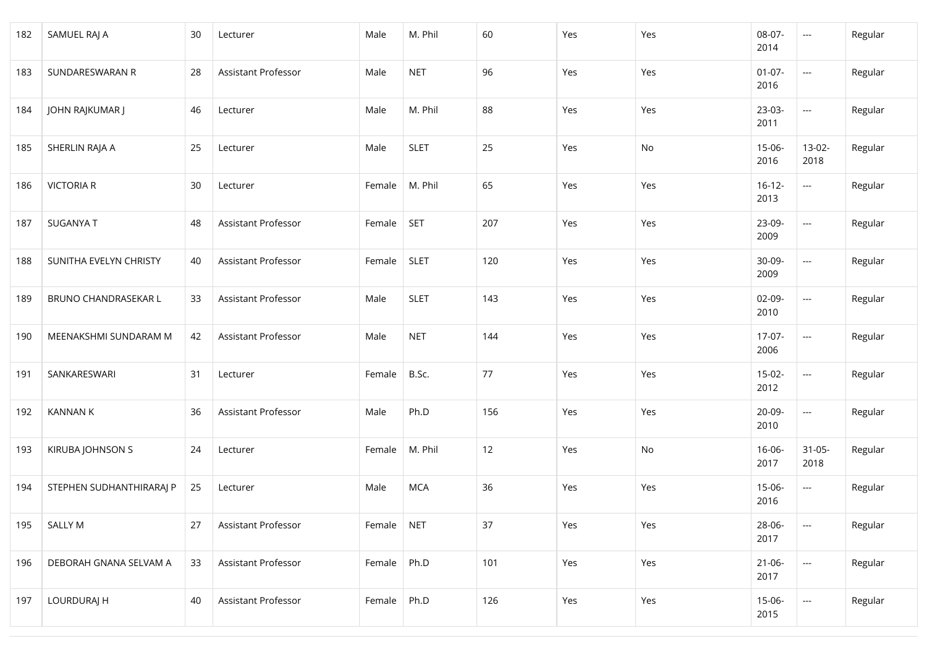| 182 | SAMUEL RAJ A             | 30 | Lecturer            | Male   | M. Phil     | 60  | Yes | Yes | 08-07-<br>2014      | $\mathbb{Z} \mathbb{Z} \mathbb{Z}$ | Regular |
|-----|--------------------------|----|---------------------|--------|-------------|-----|-----|-----|---------------------|------------------------------------|---------|
| 183 | SUNDARESWARAN R          | 28 | Assistant Professor | Male   | <b>NET</b>  | 96  | Yes | Yes | $01-07-$<br>2016    | $\hspace{0.05cm} \ldots$           | Regular |
| 184 | JOHN RAJKUMAR J          | 46 | Lecturer            | Male   | M. Phil     | 88  | Yes | Yes | $23-03-$<br>2011    | $\hspace{0.05cm} \ldots$           | Regular |
| 185 | SHERLIN RAJA A           | 25 | Lecturer            | Male   | <b>SLET</b> | 25  | Yes | No  | $15 - 06 -$<br>2016 | 13-02-<br>2018                     | Regular |
| 186 | <b>VICTORIA R</b>        | 30 | Lecturer            | Female | M. Phil     | 65  | Yes | Yes | $16 - 12 -$<br>2013 | $\overline{\phantom{a}}$           | Regular |
| 187 | SUGANYA T                | 48 | Assistant Professor | Female | <b>SET</b>  | 207 | Yes | Yes | 23-09-<br>2009      | ---                                | Regular |
| 188 | SUNITHA EVELYN CHRISTY   | 40 | Assistant Professor | Female | <b>SLET</b> | 120 | Yes | Yes | 30-09-<br>2009      | $\hspace{0.05cm} \ldots$           | Regular |
| 189 | BRUNO CHANDRASEKAR L     | 33 | Assistant Professor | Male   | <b>SLET</b> | 143 | Yes | Yes | $02 - 09 -$<br>2010 | $\hspace{0.05cm} \ldots$           | Regular |
| 190 | MEENAKSHMI SUNDARAM M    | 42 | Assistant Professor | Male   | <b>NET</b>  | 144 | Yes | Yes | $17-07-$<br>2006    | $\hspace{0.05cm} \ldots$           | Regular |
| 191 | SANKARESWARI             | 31 | Lecturer            | Female | B.Sc.       | 77  | Yes | Yes | $15-02-$<br>2012    | $\hspace{0.05cm} \ldots$           | Regular |
| 192 | <b>KANNAN K</b>          | 36 | Assistant Professor | Male   | Ph.D        | 156 | Yes | Yes | $20 - 09 -$<br>2010 | $\hspace{0.05cm} \ldots$           | Regular |
| 193 | KIRUBA JOHNSON S         | 24 | Lecturer            | Female | M. Phil     | 12  | Yes | No  | $16-06-$<br>2017    | $31 - 05 -$<br>2018                | Regular |
| 194 | STEPHEN SUDHANTHIRARAJ P | 25 | Lecturer            | Male   | <b>MCA</b>  | 36  | Yes | Yes | $15 - 06 -$<br>2016 | ---                                | Regular |
| 195 | <b>SALLY M</b>           | 27 | Assistant Professor | Female | <b>NET</b>  | 37  | Yes | Yes | 28-06-<br>2017      | $\hspace{0.05cm} \ldots$           | Regular |
| 196 | DEBORAH GNANA SELVAM A   | 33 | Assistant Professor | Female | Ph.D        | 101 | Yes | Yes | $21 - 06 -$<br>2017 | $\hspace{0.05cm} \ldots$           | Regular |
| 197 | LOURDURAJ H              | 40 | Assistant Professor | Female | Ph.D        | 126 | Yes | Yes | $15-06-$<br>2015    | $\hspace{0.05cm} \ldots$           | Regular |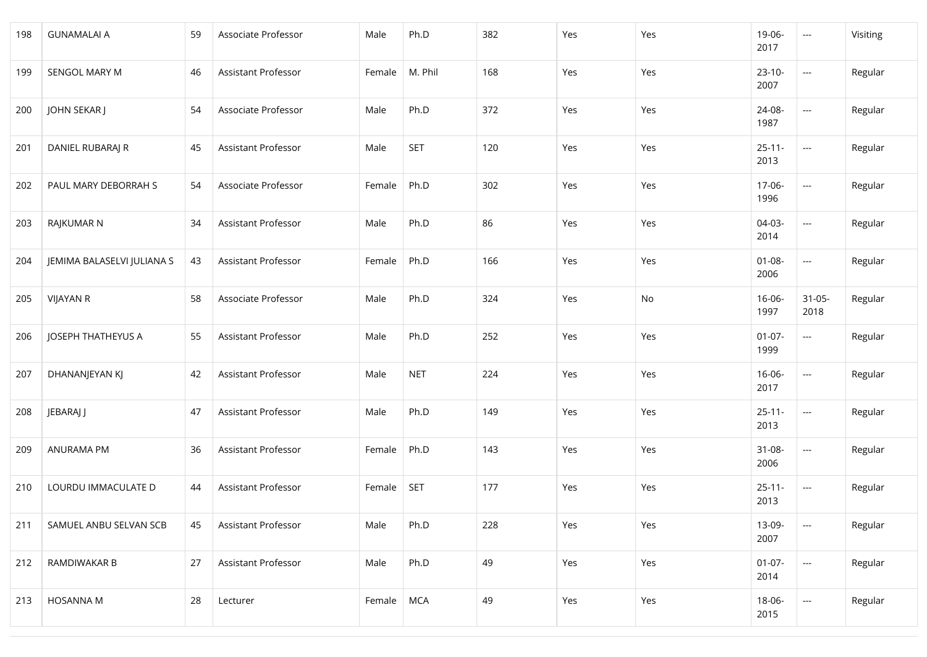| 198 | <b>GUNAMALAI A</b>         | 59 | Associate Professor | Male   | Ph.D       | 382 | Yes | Yes | 19-06-<br>2017      | $\sim$                   | Visiting |
|-----|----------------------------|----|---------------------|--------|------------|-----|-----|-----|---------------------|--------------------------|----------|
| 199 | SENGOL MARY M              | 46 | Assistant Professor | Female | M. Phil    | 168 | Yes | Yes | $23-10-$<br>2007    | $\overline{\phantom{a}}$ | Regular  |
| 200 | JOHN SEKAR J               | 54 | Associate Professor | Male   | Ph.D       | 372 | Yes | Yes | 24-08-<br>1987      | ---                      | Regular  |
| 201 | DANIEL RUBARAJ R           | 45 | Assistant Professor | Male   | <b>SET</b> | 120 | Yes | Yes | $25 - 11 -$<br>2013 | $\overline{\phantom{a}}$ | Regular  |
| 202 | PAUL MARY DEBORRAH S       | 54 | Associate Professor | Female | Ph.D       | 302 | Yes | Yes | 17-06-<br>1996      | $\overline{\phantom{a}}$ | Regular  |
| 203 | RAJKUMAR N                 | 34 | Assistant Professor | Male   | Ph.D       | 86  | Yes | Yes | $04-03-$<br>2014    | $\overline{\phantom{a}}$ | Regular  |
| 204 | JEMIMA BALASELVI JULIANA S | 43 | Assistant Professor | Female | Ph.D       | 166 | Yes | Yes | $01 - 08 -$<br>2006 | $\overline{\phantom{a}}$ | Regular  |
| 205 | <b>VIJAYAN R</b>           | 58 | Associate Professor | Male   | Ph.D       | 324 | Yes | No  | $16 - 06 -$<br>1997 | $31 - 05 -$<br>2018      | Regular  |
| 206 | JOSEPH THATHEYUS A         | 55 | Assistant Professor | Male   | Ph.D       | 252 | Yes | Yes | $01 - 07 -$<br>1999 | ---                      | Regular  |
| 207 | DHANANJEYAN KJ             | 42 | Assistant Professor | Male   | <b>NET</b> | 224 | Yes | Yes | $16 - 06 -$<br>2017 | $\overline{\phantom{a}}$ | Regular  |
| 208 | JEBARAJ J                  | 47 | Assistant Professor | Male   | Ph.D       | 149 | Yes | Yes | $25 - 11 -$<br>2013 | $\overline{\phantom{a}}$ | Regular  |
| 209 | ANURAMA PM                 | 36 | Assistant Professor | Female | Ph.D       | 143 | Yes | Yes | $31 - 08 -$<br>2006 | $\overline{\phantom{a}}$ | Regular  |
| 210 | LOURDU IMMACULATE D        | 44 | Assistant Professor | Female | <b>SET</b> | 177 | Yes | Yes | $25 - 11 -$<br>2013 | $\sim$ $\sim$            | Regular  |
| 211 | SAMUEL ANBU SELVAN SCB     | 45 | Assistant Professor | Male   | Ph.D       | 228 | Yes | Yes | 13-09-<br>2007      | $\hspace{0.05cm} \ldots$ | Regular  |
| 212 | RAMDIWAKAR B               | 27 | Assistant Professor | Male   | Ph.D       | 49  | Yes | Yes | $01-07-$<br>2014    | $\overline{\phantom{a}}$ | Regular  |
| 213 | <b>HOSANNA M</b>           | 28 | Lecturer            | Female | <b>MCA</b> | 49  | Yes | Yes | 18-06-<br>2015      | $\hspace{0.05cm}\ldots$  | Regular  |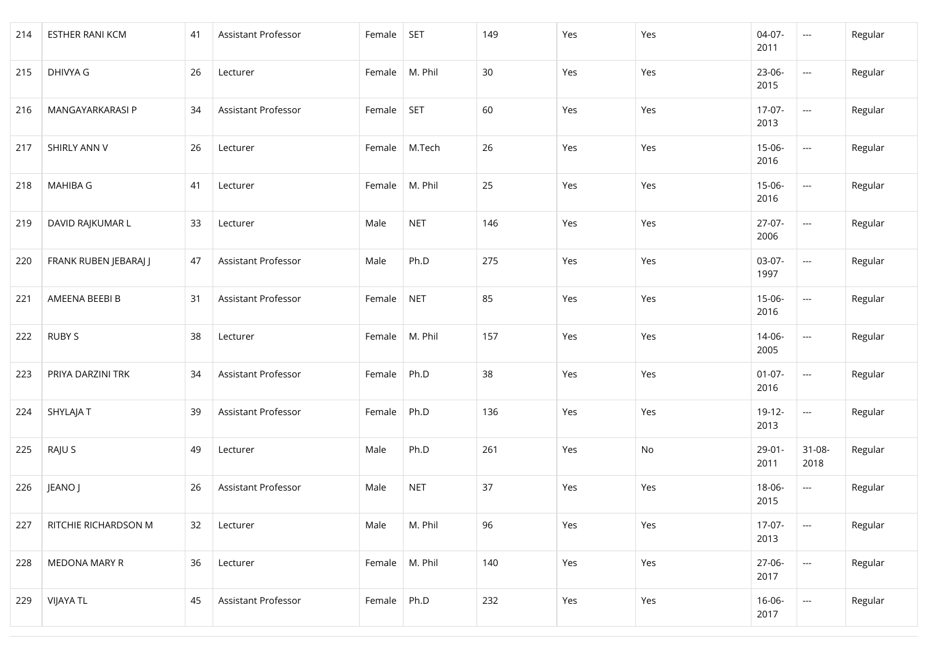| 214 | <b>ESTHER RANI KCM</b> | 41 | Assistant Professor | Female | <b>SET</b> | 149 | Yes | Yes | $04-07-$<br>2011    | $\hspace{0.05cm} \ldots$ | Regular |
|-----|------------------------|----|---------------------|--------|------------|-----|-----|-----|---------------------|--------------------------|---------|
| 215 | DHIVYA G               | 26 | Lecturer            | Female | M. Phil    | 30  | Yes | Yes | 23-06-<br>2015      | $\hspace{0.05cm} \ldots$ | Regular |
| 216 | MANGAYARKARASI P       | 34 | Assistant Professor | Female | <b>SET</b> | 60  | Yes | Yes | $17-07-$<br>2013    | $\hspace{0.05cm} \ldots$ | Regular |
| 217 | SHIRLY ANN V           | 26 | Lecturer            | Female | M.Tech     | 26  | Yes | Yes | $15 - 06 -$<br>2016 | $\sim$                   | Regular |
| 218 | MAHIBA G               | 41 | Lecturer            | Female | M. Phil    | 25  | Yes | Yes | $15-06-$<br>2016    | $\hspace{0.05cm} \ldots$ | Regular |
| 219 | DAVID RAJKUMAR L       | 33 | Lecturer            | Male   | <b>NET</b> | 146 | Yes | Yes | $27-07-$<br>2006    | $\overline{\phantom{a}}$ | Regular |
| 220 | FRANK RUBEN JEBARAJ J  | 47 | Assistant Professor | Male   | Ph.D       | 275 | Yes | Yes | 03-07-<br>1997      | $\hspace{0.05cm} \ldots$ | Regular |
| 221 | AMEENA BEEBI B         | 31 | Assistant Professor | Female | <b>NET</b> | 85  | Yes | Yes | $15 - 06 -$<br>2016 | $\hspace{0.05cm} \ldots$ | Regular |
| 222 | <b>RUBY S</b>          | 38 | Lecturer            | Female | M. Phil    | 157 | Yes | Yes | $14 - 06 -$<br>2005 | $\hspace{0.05cm} \ldots$ | Regular |
| 223 | PRIYA DARZINI TRK      | 34 | Assistant Professor | Female | Ph.D       | 38  | Yes | Yes | $01-07-$<br>2016    | ---                      | Regular |
| 224 | SHYLAJA T              | 39 | Assistant Professor | Female | Ph.D       | 136 | Yes | Yes | $19-12-$<br>2013    | $\hspace{0.05cm} \ldots$ | Regular |
| 225 | RAJU S                 | 49 | Lecturer            | Male   | Ph.D       | 261 | Yes | No  | $29-01-$<br>2011    | $31 - 08 -$<br>2018      | Regular |
| 226 | JEANO J                | 26 | Assistant Professor | Male   | <b>NET</b> | 37  | Yes | Yes | 18-06-<br>2015      | ---                      | Regular |
| 227 | RITCHIE RICHARDSON M   | 32 | Lecturer            | Male   | M. Phil    | 96  | Yes | Yes | $17-07-$<br>2013    | $\overline{\phantom{a}}$ | Regular |
| 228 | MEDONA MARY R          | 36 | Lecturer            | Female | M. Phil    | 140 | Yes | Yes | 27-06-<br>2017      | $\frac{1}{2}$            | Regular |
| 229 | <b>VIJAYA TL</b>       | 45 | Assistant Professor | Female | Ph.D       | 232 | Yes | Yes | 16-06-<br>2017      | $\hspace{0.05cm} \ldots$ | Regular |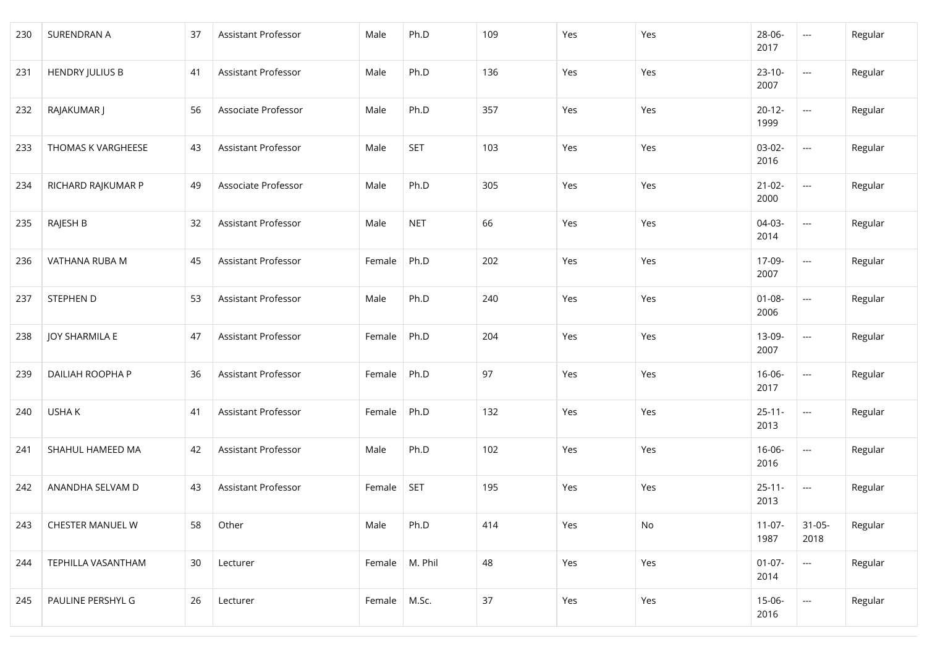| 230 | SURENDRAN A            | 37 | <b>Assistant Professor</b> | Male           | Ph.D       | 109 | Yes | Yes | 28-06-<br>2017      | $\hspace{0.05cm} \ldots$ | Regular |
|-----|------------------------|----|----------------------------|----------------|------------|-----|-----|-----|---------------------|--------------------------|---------|
| 231 | <b>HENDRY JULIUS B</b> | 41 | Assistant Professor        | Male           | Ph.D       | 136 | Yes | Yes | $23 - 10 -$<br>2007 | $\hspace{0.05cm} \ldots$ | Regular |
| 232 | RAJAKUMAR J            | 56 | Associate Professor        | Male           | Ph.D       | 357 | Yes | Yes | $20 - 12 -$<br>1999 | $\hspace{0.05cm} \ldots$ | Regular |
| 233 | THOMAS K VARGHEESE     | 43 | Assistant Professor        | Male           | <b>SET</b> | 103 | Yes | Yes | 03-02-<br>2016      | $\hspace{0.05cm} \ldots$ | Regular |
| 234 | RICHARD RAJKUMAR P     | 49 | Associate Professor        | Male           | Ph.D       | 305 | Yes | Yes | $21 - 02 -$<br>2000 | $\hspace{0.05cm} \ldots$ | Regular |
| 235 | RAJESH B               | 32 | Assistant Professor        | Male           | <b>NET</b> | 66  | Yes | Yes | $04-03-$<br>2014    | $\hspace{0.05cm} \ldots$ | Regular |
| 236 | VATHANA RUBA M         | 45 | Assistant Professor        | Female         | Ph.D       | 202 | Yes | Yes | 17-09-<br>2007      | $\hspace{0.05cm} \ldots$ | Regular |
| 237 | STEPHEN D              | 53 | Assistant Professor        | Male           | Ph.D       | 240 | Yes | Yes | $01 - 08 -$<br>2006 | $\hspace{0.05cm} \ldots$ | Regular |
| 238 | <b>JOY SHARMILA E</b>  | 47 | Assistant Professor        | Female         | Ph.D       | 204 | Yes | Yes | 13-09-<br>2007      | $\hspace{0.05cm} \ldots$ | Regular |
| 239 | DAILIAH ROOPHA P       | 36 | Assistant Professor        | Female         | Ph.D       | 97  | Yes | Yes | $16 - 06 -$<br>2017 | $\hspace{0.05cm} \ldots$ | Regular |
| 240 | USHA K                 | 41 | Assistant Professor        | Female         | Ph.D       | 132 | Yes | Yes | $25 - 11 -$<br>2013 | $\hspace{0.05cm} \ldots$ | Regular |
| 241 | SHAHUL HAMEED MA       | 42 | Assistant Professor        | Male           | Ph.D       | 102 | Yes | Yes | $16 - 06 -$<br>2016 | $\hspace{0.05cm} \ldots$ | Regular |
| 242 | ANANDHA SELVAM D       | 43 | Assistant Professor        | Female         | <b>SET</b> | 195 | Yes | Yes | $25 - 11 -$<br>2013 | $\sim$ $\sim$            | Regular |
| 243 | CHESTER MANUEL W       | 58 | Other                      | Male           | Ph.D       | 414 | Yes | No  | $11-07-$<br>1987    | $31 - 05 -$<br>2018      | Regular |
| 244 | TEPHILLA VASANTHAM     | 30 | Lecturer                   | Female         | M. Phil    | 48  | Yes | Yes | $01-07-$<br>2014    | $\overline{\phantom{a}}$ | Regular |
| 245 | PAULINE PERSHYL G      | 26 | Lecturer                   | Female   M.Sc. |            | 37  | Yes | Yes | $15-06-$<br>2016    | $\hspace{0.05cm} \ldots$ | Regular |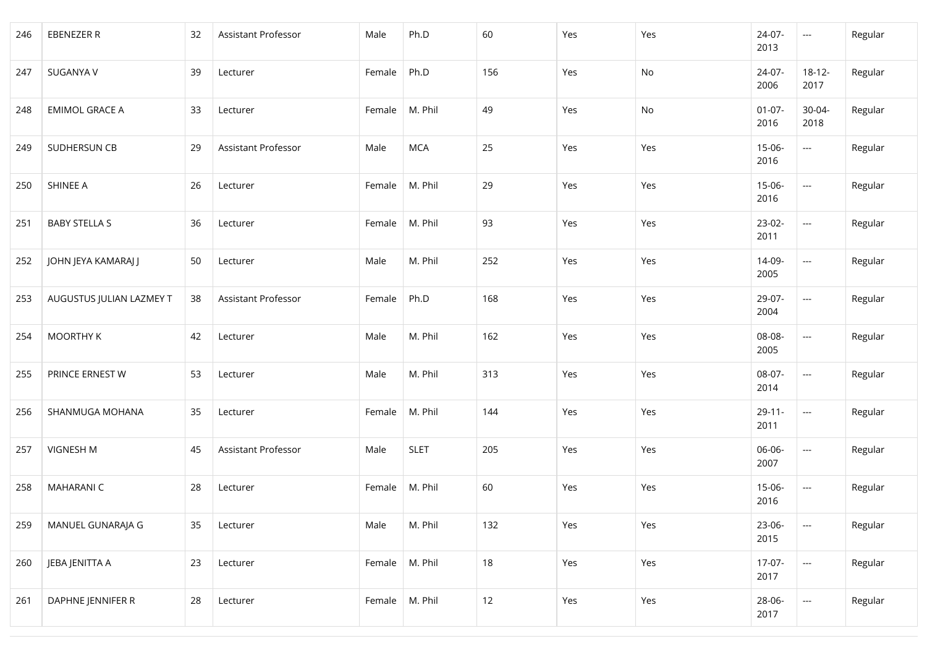| 246 | <b>EBENEZER R</b>        | 32 | Assistant Professor | Male   | Ph.D        | 60  | Yes | Yes | 24-07-<br>2013      | $\hspace{0.05cm} \ldots$                            | Regular |
|-----|--------------------------|----|---------------------|--------|-------------|-----|-----|-----|---------------------|-----------------------------------------------------|---------|
| 247 | SUGANYA V                | 39 | Lecturer            | Female | Ph.D        | 156 | Yes | No  | 24-07-<br>2006      | $18 - 12 -$<br>2017                                 | Regular |
| 248 | <b>EMIMOL GRACE A</b>    | 33 | Lecturer            | Female | M. Phil     | 49  | Yes | No  | $01-07-$<br>2016    | 30-04-<br>2018                                      | Regular |
| 249 | SUDHERSUN CB             | 29 | Assistant Professor | Male   | <b>MCA</b>  | 25  | Yes | Yes | $15 - 06 -$<br>2016 | $\overline{\phantom{a}}$                            | Regular |
| 250 | SHINEE A                 | 26 | Lecturer            | Female | M. Phil     | 29  | Yes | Yes | $15-06-$<br>2016    | $\hspace{0.05cm} \ldots$                            | Regular |
| 251 | <b>BABY STELLA S</b>     | 36 | Lecturer            | Female | M. Phil     | 93  | Yes | Yes | $23-02-$<br>2011    | $\overline{\phantom{a}}$                            | Regular |
| 252 | JOHN JEYA KAMARAJ J      | 50 | Lecturer            | Male   | M. Phil     | 252 | Yes | Yes | 14-09-<br>2005      | $\hspace{0.05cm} \ldots$                            | Regular |
| 253 | AUGUSTUS JULIAN LAZMEY T | 38 | Assistant Professor | Female | Ph.D        | 168 | Yes | Yes | 29-07-<br>2004      | $\hspace{0.05cm} \ldots$                            | Regular |
| 254 | MOORTHY K                | 42 | Lecturer            | Male   | M. Phil     | 162 | Yes | Yes | 08-08-<br>2005      | $\hspace{0.05cm} \ldots$                            | Regular |
| 255 | PRINCE ERNEST W          | 53 | Lecturer            | Male   | M. Phil     | 313 | Yes | Yes | 08-07-<br>2014      | ---                                                 | Regular |
| 256 | SHANMUGA MOHANA          | 35 | Lecturer            | Female | M. Phil     | 144 | Yes | Yes | $29 - 11 -$<br>2011 | $\hspace{0.05cm} \ldots$                            | Regular |
| 257 | VIGNESH M                | 45 | Assistant Professor | Male   | <b>SLET</b> | 205 | Yes | Yes | 06-06-<br>2007      | $\hspace{0.05cm} \ldots$                            | Regular |
| 258 | <b>MAHARANI C</b>        | 28 | Lecturer            | Female | M. Phil     | 60  | Yes | Yes | $15 - 06 -$<br>2016 | ---                                                 | Regular |
| 259 | MANUEL GUNARAJA G        | 35 | Lecturer            | Male   | M. Phil     | 132 | Yes | Yes | 23-06-<br>2015      | $\mathbb{H}^{\mathbb{H}^{\mathbb{H}}}_{\mathbb{H}}$ | Regular |
| 260 | JEBA JENITTA A           | 23 | Lecturer            | Female | M. Phil     | 18  | Yes | Yes | $17-07-$<br>2017    | $\frac{1}{2}$                                       | Regular |
| 261 | DAPHNE JENNIFER R        | 28 | Lecturer            | Female | M. Phil     | 12  | Yes | Yes | 28-06-<br>2017      | $\hspace{0.05cm} \ldots$                            | Regular |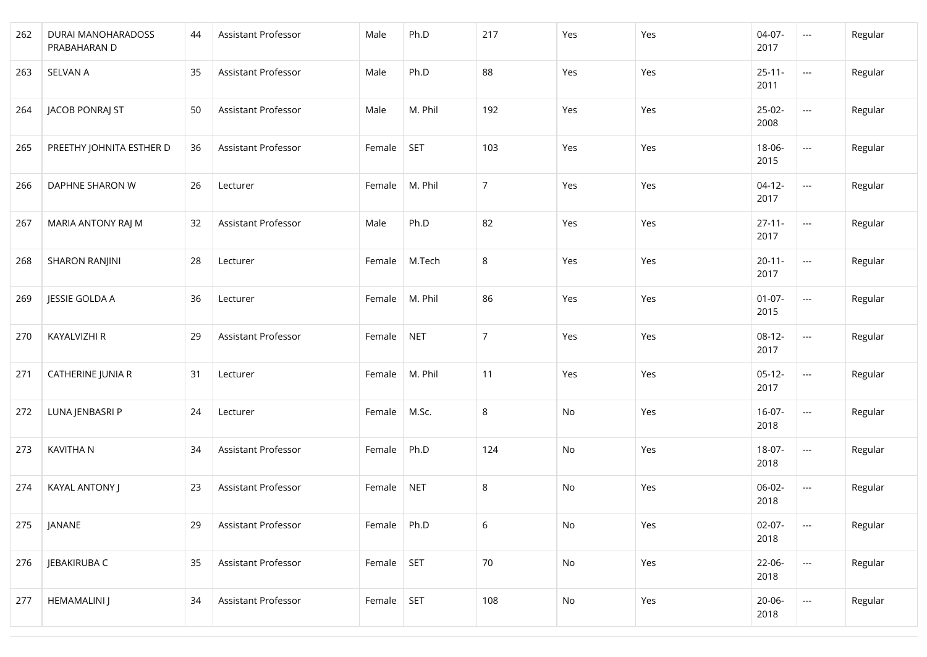| 262 | DURAI MANOHARADOSS<br>PRABAHARAN D | 44 | Assistant Professor | Male   | Ph.D       | 217            | Yes                          | Yes | $04-07-$<br>2017    | $\hspace{0.05cm}\ldots$  | Regular |
|-----|------------------------------------|----|---------------------|--------|------------|----------------|------------------------------|-----|---------------------|--------------------------|---------|
| 263 | <b>SELVAN A</b>                    | 35 | Assistant Professor | Male   | Ph.D       | 88             | Yes                          | Yes | $25 - 11 -$<br>2011 | $\hspace{0.05cm}\ldots$  | Regular |
| 264 | JACOB PONRAJ ST                    | 50 | Assistant Professor | Male   | M. Phil    | 192            | Yes                          | Yes | $25-02-$<br>2008    | $\hspace{0.05cm}\ldots$  | Regular |
| 265 | PREETHY JOHNITA ESTHER D           | 36 | Assistant Professor | Female | <b>SET</b> | 103            | Yes                          | Yes | 18-06-<br>2015      | $\hspace{0.05cm} \ldots$ | Regular |
| 266 | DAPHNE SHARON W                    | 26 | Lecturer            | Female | M. Phil    | $\overline{7}$ | Yes                          | Yes | $04-12-$<br>2017    | $\mathbb{R}^{2n+1}$      | Regular |
| 267 | MARIA ANTONY RAJ M                 | 32 | Assistant Professor | Male   | Ph.D       | 82             | Yes                          | Yes | $27 - 11 -$<br>2017 | ---                      | Regular |
| 268 | <b>SHARON RANJINI</b>              | 28 | Lecturer            | Female | M.Tech     | $\,8\,$        | Yes                          | Yes | $20 - 11 -$<br>2017 | $\hspace{0.05cm} \ldots$ | Regular |
| 269 | JESSIE GOLDA A                     | 36 | Lecturer            | Female | M. Phil    | 86             | Yes                          | Yes | $01-07-$<br>2015    | $\hspace{0.05cm}\ldots$  | Regular |
| 270 | KAYALVIZHI R                       | 29 | Assistant Professor | Female | <b>NET</b> | 7              | Yes                          | Yes | $08-12-$<br>2017    | $\hspace{0.05cm} \ldots$ | Regular |
| 271 | CATHERINE JUNIA R                  | 31 | Lecturer            | Female | M. Phil    | 11             | Yes                          | Yes | $05-12-$<br>2017    | $\hspace{0.05cm}\ldots$  | Regular |
| 272 | LUNA JENBASRI P                    | 24 | Lecturer            | Female | M.Sc.      | $\,8\,$        | No                           | Yes | $16-07-$<br>2018    | $\hspace{0.05cm} \ldots$ | Regular |
| 273 | <b>KAVITHAN</b>                    | 34 | Assistant Professor | Female | Ph.D       | 124            | No                           | Yes | 18-07-<br>2018      | $\hspace{0.05cm} \ldots$ | Regular |
| 274 | KAYAL ANTONY J                     | 23 | Assistant Professor | Female | <b>NET</b> | $\,8\,$        | No                           | Yes | $06-02-$<br>2018    | $\hspace{0.05cm} \ldots$ | Regular |
| 275 | JANANE                             | 29 | Assistant Professor | Female | Ph.D       | 6              | No                           | Yes | $02-07-$<br>2018    | $\hspace{0.05cm} \ldots$ | Regular |
| 276 | JEBAKIRUBA C                       | 35 | Assistant Professor | Female | <b>SET</b> | 70             | $\operatorname{\mathsf{No}}$ | Yes | $22 - 06 -$<br>2018 | $\hspace{0.05cm} \ldots$ | Regular |
| 277 | <b>HEMAMALINI J</b>                | 34 | Assistant Professor | Female | SET        | 108            | No                           | Yes | $20 - 06 -$<br>2018 | $\hspace{0.05cm} \ldots$ | Regular |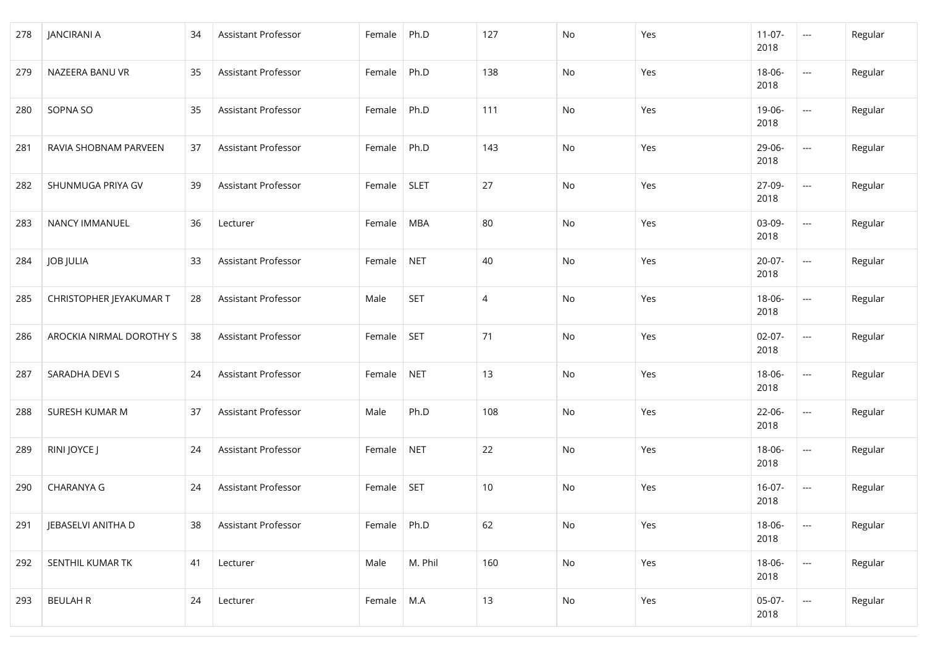| 278 | <b>JANCIRANI A</b>       | 34 | Assistant Professor | Female | Ph.D        | 127 | No | Yes | $11-07-$<br>2018    | $\sim$ $\sim$            | Regular |
|-----|--------------------------|----|---------------------|--------|-------------|-----|----|-----|---------------------|--------------------------|---------|
| 279 | NAZEERA BANU VR          | 35 | Assistant Professor | Female | Ph.D        | 138 | No | Yes | 18-06-<br>2018      | $\hspace{0.05cm} \ldots$ | Regular |
| 280 | SOPNA SO                 | 35 | Assistant Professor | Female | Ph.D        | 111 | No | Yes | 19-06-<br>2018      | $\sim$ $\sim$            | Regular |
| 281 | RAVIA SHOBNAM PARVEEN    | 37 | Assistant Professor | Female | Ph.D        | 143 | No | Yes | 29-06-<br>2018      | $\hspace{0.05cm}\ldots$  | Regular |
| 282 | SHUNMUGA PRIYA GV        | 39 | Assistant Professor | Female | <b>SLET</b> | 27  | No | Yes | 27-09-<br>2018      | $\mathbb{R}^{2n+1}$      | Regular |
| 283 | NANCY IMMANUEL           | 36 | Lecturer            | Female | <b>MBA</b>  | 80  | No | Yes | 03-09-<br>2018      | ---                      | Regular |
| 284 | <b>JOB JULIA</b>         | 33 | Assistant Professor | Female | <b>NET</b>  | 40  | No | Yes | $20-07-$<br>2018    | $\hspace{0.05cm} \ldots$ | Regular |
| 285 | CHRISTOPHER JEYAKUMAR T  | 28 | Assistant Professor | Male   | <b>SET</b>  | 4   | No | Yes | 18-06-<br>2018      | $\hspace{0.05cm} \ldots$ | Regular |
| 286 | AROCKIA NIRMAL DOROTHY S | 38 | Assistant Professor | Female | <b>SET</b>  | 71  | No | Yes | $02-07-$<br>2018    | $\sim$ $\sim$            | Regular |
| 287 | SARADHA DEVI S           | 24 | Assistant Professor | Female | <b>NET</b>  | 13  | No | Yes | 18-06-<br>2018      | ---                      | Regular |
| 288 | SURESH KUMAR M           | 37 | Assistant Professor | Male   | Ph.D        | 108 | No | Yes | $22 - 06 -$<br>2018 | $\hspace{0.05cm} \ldots$ | Regular |
| 289 | RINI JOYCE J             | 24 | Assistant Professor | Female | <b>NET</b>  | 22  | No | Yes | 18-06-<br>2018      | $\hspace{0.05cm} \ldots$ | Regular |
| 290 | <b>CHARANYA G</b>        | 24 | Assistant Professor | Female | <b>SET</b>  | 10  | No | Yes | $16-07-$<br>2018    | $\hspace{0.05cm} \ldots$ | Regular |
| 291 | JEBASELVI ANITHA D       | 38 | Assistant Professor | Female | Ph.D        | 62  | No | Yes | 18-06-<br>2018      | $\hspace{0.05cm} \ldots$ | Regular |
| 292 | SENTHIL KUMAR TK         | 41 | Lecturer            | Male   | M. Phil     | 160 | No | Yes | 18-06-<br>2018      | $\overline{\phantom{a}}$ | Regular |
| 293 | <b>BEULAH R</b>          | 24 | Lecturer            | Female | M.A         | 13  | No | Yes | $05-07-$<br>2018    | $\hspace{0.05cm} \ldots$ | Regular |